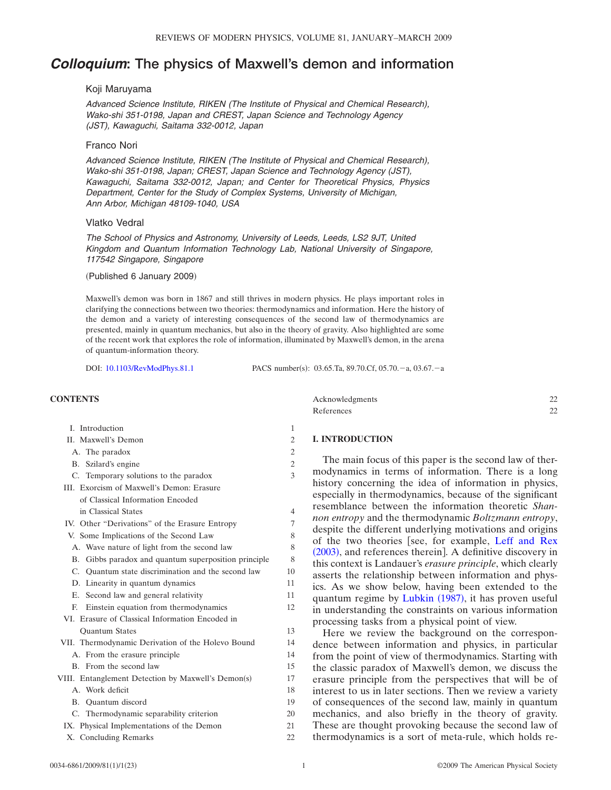# *Colloquium***: The physics of Maxwell's demon and information**

# Koji Maruyama

*Advanced Science Institute, RIKEN (The Institute of Physical and Chemical Research), Wako-shi 351-0198, Japan and CREST, Japan Science and Technology Agency (JST), Kawaguchi, Saitama 332-0012, Japan*

# Franco Nori

*Advanced Science Institute, RIKEN (The Institute of Physical and Chemical Research), Wako-shi 351-0198, Japan; CREST, Japan Science and Technology Agency (JST), Kawaguchi, Saitama 332-0012, Japan; and Center for Theoretical Physics, Physics Department, Center for the Study of Complex Systems, University of Michigan, Ann Arbor, Michigan 48109-1040, USA*

## Vlatko Vedral

*The School of Physics and Astronomy, University of Leeds, Leeds, LS2 9JT, United Kingdom and Quantum Information Technology Lab, National University of Singapore, 117542 Singapore, Singapore*

## (Published 6 January 2009)

Maxwell's demon was born in 1867 and still thrives in modern physics. He plays important roles in clarifying the connections between two theories: thermodynamics and information. Here the history of the demon and a variety of interesting consequences of the second law of thermodynamics are presented, mainly in quantum mechanics, but also in the theory of gravity. Also highlighted are some of the recent work that explores the role of information, illuminated by Maxwell's demon, in the arena of quantum-information theory.

DOI: [10.1103/RevModPhys.81.1](http://dx.doi.org/10.1103/RevModPhys.81.1)

PACS number(s): 03.65.Ta, 89.70.Cf, 05.70.-a, 03.67.-a

# **CONTENTS**

| I. Introduction                                      | 1              |
|------------------------------------------------------|----------------|
| II. Maxwell's Demon                                  | $\overline{c}$ |
| A. The paradox                                       | $\overline{c}$ |
| Szilard's engine<br>В.                               | $\overline{2}$ |
| C. Temporary solutions to the paradox                | 3              |
| III. Exorcism of Maxwell's Demon: Erasure            |                |
| of Classical Information Encoded                     |                |
| in Classical States                                  | $\overline{4}$ |
| IV. Other "Derivations" of the Erasure Entropy       | 7              |
| V. Some Implications of the Second Law               | 8              |
| A. Wave nature of light from the second law          | 8              |
| B. Gibbs paradox and quantum superposition principle | 8              |
| C. Quantum state discrimination and the second law   | 10             |
| D. Linearity in quantum dynamics                     | 11             |
| E. Second law and general relativity                 | 11             |
| Einstein equation from thermodynamics<br>E.          | 12             |
| VI. Erasure of Classical Information Encoded in      |                |
| <b>Ouantum States</b>                                | 13             |
| VII. Thermodynamic Derivation of the Holevo Bound    | 14             |
| A. From the erasure principle                        | 14             |
| B. From the second law                               | 15             |
| VIII. Entanglement Detection by Maxwell's Demon(s)   | 17             |
| A. Work deficit                                      | 18             |
| B. Quantum discord                                   | 19             |
| C. Thermodynamic separability criterion              | 20             |
| IX. Physical Implementations of the Demon            | 21             |
| X. Concluding Remarks                                | 22             |
|                                                      |                |

Acknowledgments 22 References 22

## **I. INTRODUCTION**

The main focus of this paper is the second law of thermodynamics in terms of information. There is a long history concerning the idea of information in physics, especially in thermodynamics, because of the significant resemblance between the information theoretic *Shannon entropy* and the thermodynamic *Boltzmann entropy*, despite the different underlying motivations and origins of the two theories [see, for example, [Leff and Rex](#page-22-0) ([2003](#page-22-0)), and references therein]. A definitive discovery in this context is Landauer's *erasure principle*, which clearly asserts the relationship between information and physics. As we show below, having been extended to the quantum regime by [Lubkin](#page-22-1) (1987), it has proven useful in understanding the constraints on various information processing tasks from a physical point of view.

Here we review the background on the correspondence between information and physics, in particular from the point of view of thermodynamics. Starting with the classic paradox of Maxwell's demon, we discuss the erasure principle from the perspectives that will be of interest to us in later sections. Then we review a variety of consequences of the second law, mainly in quantum mechanics, and also briefly in the theory of gravity. These are thought provoking because the second law of thermodynamics is a sort of meta-rule, which holds re-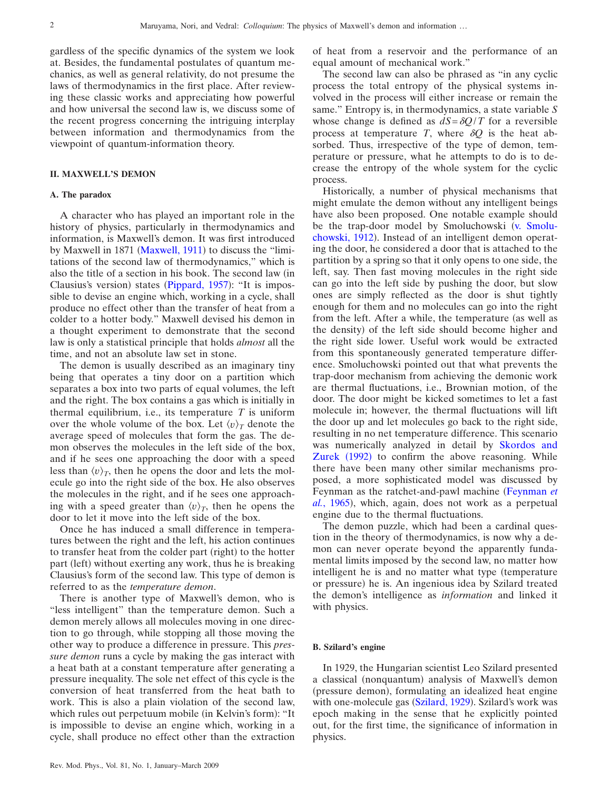gardless of the specific dynamics of the system we look at. Besides, the fundamental postulates of quantum mechanics, as well as general relativity, do not presume the laws of thermodynamics in the first place. After reviewing these classic works and appreciating how powerful and how universal the second law is, we discuss some of the recent progress concerning the intriguing interplay between information and thermodynamics from the viewpoint of quantum-information theory.

## **II. MAXWELL'S DEMON**

## **A. The paradox**

A character who has played an important role in the history of physics, particularly in thermodynamics and information, is Maxwell's demon. It was first introduced by Maxwell in 1871 ([Maxwell, 1911](#page-22-2)) to discuss the "limitations of the second law of thermodynamics," which is also the title of a section in his book. The second law (in Clausius's version) states ([Pippard, 1957](#page-22-3)): "It is impossible to devise an engine which, working in a cycle, shall produce no effect other than the transfer of heat from a colder to a hotter body." Maxwell devised his demon in a thought experiment to demonstrate that the second law is only a statistical principle that holds *almost* all the time, and not an absolute law set in stone.

The demon is usually described as an imaginary tiny being that operates a tiny door on a partition which separates a box into two parts of equal volumes, the left and the right. The box contains a gas which is initially in thermal equilibrium, i.e., its temperature *T* is uniform over the whole volume of the box. Let  $\langle v \rangle_T$  denote the average speed of molecules that form the gas. The demon observes the molecules in the left side of the box, and if he sees one approaching the door with a speed less than  $\langle v \rangle_T$ , then he opens the door and lets the molecule go into the right side of the box. He also observes the molecules in the right, and if he sees one approaching with a speed greater than  $\langle v \rangle_T$ , then he opens the door to let it move into the left side of the box.

Once he has induced a small difference in temperatures between the right and the left, his action continues to transfer heat from the colder part (right) to the hotter part (left) without exerting any work, thus he is breaking Clausius's form of the second law. This type of demon is referred to as the *temperature demon*.

There is another type of Maxwell's demon, who is ''less intelligent'' than the temperature demon. Such a demon merely allows all molecules moving in one direction to go through, while stopping all those moving the other way to produce a difference in pressure. This *pressure demon* runs a cycle by making the gas interact with a heat bath at a constant temperature after generating a pressure inequality. The sole net effect of this cycle is the conversion of heat transferred from the heat bath to work. This is also a plain violation of the second law, which rules out perpetuum mobile (in Kelvin's form): "It is impossible to devise an engine which, working in a cycle, shall produce no effect other than the extraction

of heat from a reservoir and the performance of an equal amount of mechanical work."

The second law can also be phrased as "in any cyclic process the total entropy of the physical systems involved in the process will either increase or remain the same." Entropy is, in thermodynamics, a state variable *S* whose change is defined as  $dS = \delta Q/T$  for a reversible process at temperature *T*, where  $\delta Q$  is the heat absorbed. Thus, irrespective of the type of demon, temperature or pressure, what he attempts to do is to decrease the entropy of the whole system for the cyclic process.

Historically, a number of physical mechanisms that might emulate the demon without any intelligent beings have also been proposed. One notable example should be the trap-door model by Smoluchowski ([v. Smolu](#page-22-4)[chowski, 1912](#page-22-4)). Instead of an intelligent demon operating the door, he considered a door that is attached to the partition by a spring so that it only opens to one side, the left, say. Then fast moving molecules in the right side can go into the left side by pushing the door, but slow ones are simply reflected as the door is shut tightly enough for them and no molecules can go into the right from the left. After a while, the temperature (as well as the density) of the left side should become higher and the right side lower. Useful work would be extracted from this spontaneously generated temperature difference. Smoluchowski pointed out that what prevents the trap-door mechanism from achieving the demonic work are thermal fluctuations, i.e., Brownian motion, of the door. The door might be kicked sometimes to let a fast molecule in; however, the thermal fluctuations will lift the door up and let molecules go back to the right side, resulting in no net temperature difference. This scenario was numerically analyzed in detail by [Skordos and](#page-22-5) [Zurek](#page-22-5) (1992) to confirm the above reasoning. While there have been many other similar mechanisms proposed, a more sophisticated model was discussed by [Feynman](#page-21-0) as the ratchet-and-pawl machine (Feynman *et*) al.[, 1965](#page-21-0)), which, again, does not work as a perpetual engine due to the thermal fluctuations.

The demon puzzle, which had been a cardinal question in the theory of thermodynamics, is now why a demon can never operate beyond the apparently fundamental limits imposed by the second law, no matter how intelligent he is and no matter what type (temperature or pressure) he is. An ingenious idea by Szilard treated the demon's intelligence as *information* and linked it with physics.

#### **B. Szilard's engine**

In 1929, the Hungarian scientist Leo Szilard presented a classical (nonquantum) analysis of Maxwell's demon (pressure demon), formulating an idealized heat engine with one-molecule gas ([Szilard, 1929](#page-22-6)). Szilard's work was epoch making in the sense that he explicitly pointed out, for the first time, the significance of information in physics.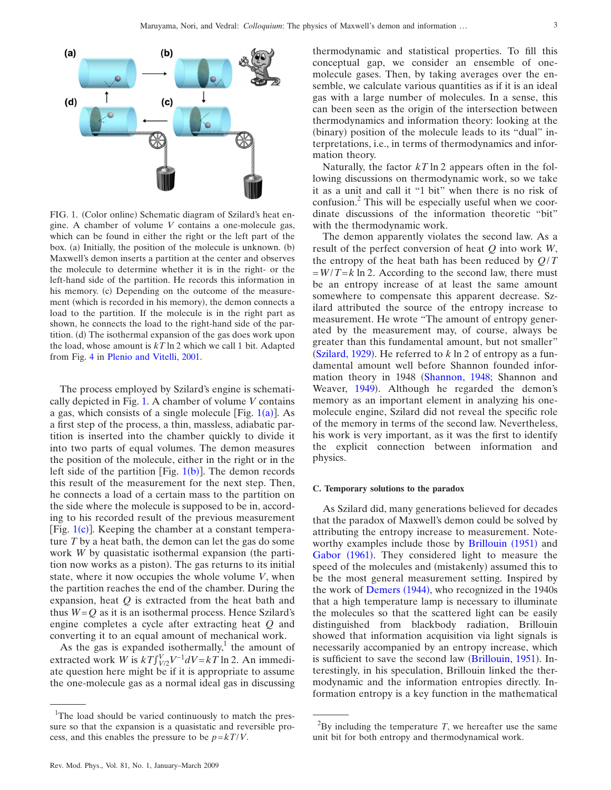<span id="page-2-0"></span>

FIG. 1. (Color online) Schematic diagram of Szilard's heat engine. A chamber of volume *V* contains a one-molecule gas, which can be found in either the right or the left part of the box. (a) Initially, the position of the molecule is unknown. (b) Maxwell's demon inserts a partition at the center and observes the molecule to determine whether it is in the right- or the left-hand side of the partition. He records this information in his memory. (c) Depending on the outcome of the measurement (which is recorded in his memory), the demon connects a load to the partition. If the molecule is in the right part as shown, he connects the load to the right-hand side of the partition. (d) The isothermal expansion of the gas does work upon the load, whose amount is *kT* ln 2 which we call 1 bit. Adapted from Fig. [4](#page-5-0) in [Plenio and Vitelli, 2001.](#page-22-9)

The process employed by Szilard's engine is schematically depicted in Fig. [1.](#page-2-0) A chamber of volume *V* contains a gas, which consists of a single molecule [Fig.  $1(a)$  $1(a)$ ]. As a first step of the process, a thin, massless, adiabatic partition is inserted into the chamber quickly to divide it into two parts of equal volumes. The demon measures the position of the molecule, either in the right or in the left side of the partition [Fig.  $1(b)$  $1(b)$  $1(b)$ ]. The demon records this result of the measurement for the next step. Then, he connects a load of a certain mass to the partition on the side where the molecule is supposed to be in, according to his recorded result of the previous measurement [Fig.  $1(c)$  $1(c)$ ]. Keeping the chamber at a constant temperature *T* by a heat bath, the demon can let the gas do some work *W* by quasistatic isothermal expansion (the partition now works as a piston). The gas returns to its initial state, where it now occupies the whole volume *V*, when the partition reaches the end of the chamber. During the expansion, heat *Q* is extracted from the heat bath and thus  $W = Q$  as it is an isothermal process. Hence Szilard's engine completes a cycle after extracting heat *Q* and converting it to an equal amount of mechanical work.

As the gas is expanded isothermally,<sup>1</sup> the amount of extracted work *W* is  $kT \int_{V/2}^{V} V^{-1} dV = kT \ln 2$ . An immediate question here might be if it is appropriate to assume the one-molecule gas as a normal ideal gas in discussing thermodynamic and statistical properties. To fill this conceptual gap, we consider an ensemble of onemolecule gases. Then, by taking averages over the ensemble, we calculate various quantities as if it is an ideal gas with a large number of molecules. In a sense, this can been seen as the origin of the intersection between thermodynamics and information theory: looking at the (binary) position of the molecule leads to its "dual" interpretations, i.e., in terms of thermodynamics and information theory.

Naturally, the factor *kT* ln 2 appears often in the following discussions on thermodynamic work, so we take it as a unit and call it "1 bit" when there is no risk of confusion.<sup>2</sup> This will be especially useful when we coordinate discussions of the information theoretic "bit" with the thermodynamic work.

The demon apparently violates the second law. As a result of the perfect conversion of heat *Q* into work *W*, the entropy of the heat bath has been reduced by *Q*/*T*  $= W/T = k \ln 2$ . According to the second law, there must be an entropy increase of at least the same amount somewhere to compensate this apparent decrease. Szilard attributed the source of the entropy increase to measurement. He wrote "The amount of entropy generated by the measurement may, of course, always be greater than this fundamental amount, but not smaller" ([Szilard, 1929](#page-22-6)). He referred to  $k \ln 2$  of entropy as a fundamental amount well before Shannon founded infor-mation theory in 1948 ([Shannon, 1948;](#page-22-7) Shannon and Weaver, [1949](#page-22-8)). Although he regarded the demon's memory as an important element in analyzing his onemolecule engine, Szilard did not reveal the specific role of the memory in terms of the second law. Nevertheless, his work is very important, as it was the first to identify the explicit connection between information and physics.

### **C. Temporary solutions to the paradox**

As Szilard did, many generations believed for decades that the paradox of Maxwell's demon could be solved by attributing the entropy increase to measurement. Note-worthy examples include those by [Brillouin](#page-21-1) (1951) and [Gabor](#page-21-2) (1961). They considered light to measure the speed of the molecules and (mistakenly) assumed this to be the most general measurement setting. Inspired by the work of [Demers](#page-21-3) (1944), who recognized in the 1940s that a high temperature lamp is necessary to illuminate the molecules so that the scattered light can be easily distinguished from blackbody radiation, Brillouin showed that information acquisition via light signals is necessarily accompanied by an entropy increase, which is sufficient to save the second law ([Brillouin, 1951](#page-21-1)). Interestingly, in his speculation, Brillouin linked the thermodynamic and the information entropies directly. Information entropy is a key function in the mathematical

<sup>&</sup>lt;sup>1</sup>The load should be varied continuously to match the pressure so that the expansion is a quasistatic and reversible process, and this enables the pressure to be  $p = kT/V$ .

 $^{2}$ By including the temperature *T*, we hereafter use the same unit bit for both entropy and thermodynamical work.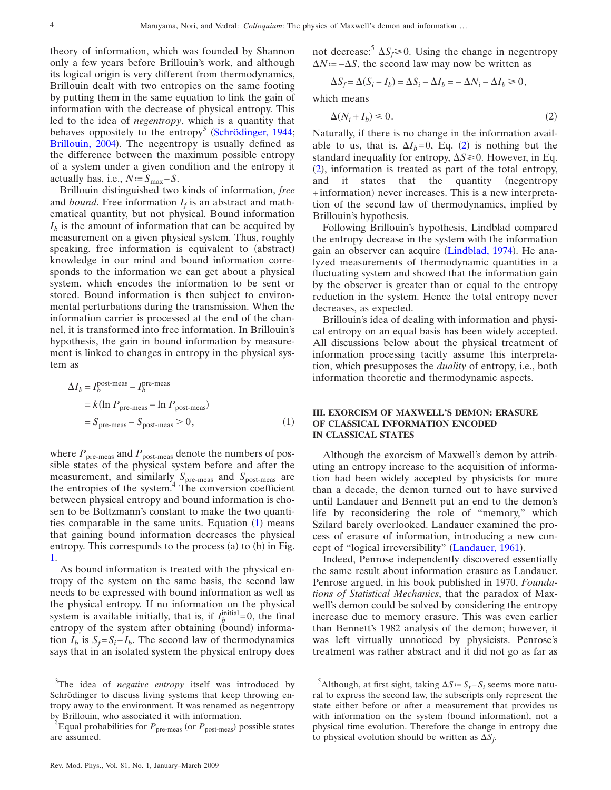theory of information, which was founded by Shannon only a few years before Brillouin's work, and although its logical origin is very different from thermodynamics, Brillouin dealt with two entropies on the same footing by putting them in the same equation to link the gain of information with the decrease of physical entropy. This led to the idea of *negentropy*, which is a quantity that behaves oppositely to the entropy<sup>3</sup> ([Schrödinger, 1944;](#page-22-10) [Brillouin, 2004](#page-21-4)). The negentropy is usually defined as the difference between the maximum possible entropy of a system under a given condition and the entropy it actually has, i.e.,  $N = S_{\text{max}} - S$ .

Brillouin distinguished two kinds of information, *free* and *bound*. Free information  $I_f$  is an abstract and mathematical quantity, but not physical. Bound information  $I<sub>b</sub>$  is the amount of information that can be acquired by measurement on a given physical system. Thus, roughly speaking, free information is equivalent to (abstract) knowledge in our mind and bound information corresponds to the information we can get about a physical system, which encodes the information to be sent or stored. Bound information is then subject to environmental perturbations during the transmission. When the information carrier is processed at the end of the channel, it is transformed into free information. In Brillouin's hypothesis, the gain in bound information by measurement is linked to changes in entropy in the physical system as

<span id="page-3-0"></span>
$$
\Delta I_b = I_b^{\text{post-meas}} - I_b^{\text{pre-meas}}
$$
  
=  $k(\ln P_{\text{pre-meas}} - \ln P_{\text{post-meas}})$   
=  $S_{\text{pre-meas}} - S_{\text{post-meas}} > 0,$  (1)

where  $P_{\text{pre-meas}}$  and  $P_{\text{post-meas}}$  denote the numbers of possible states of the physical system before and after the measurement, and similarly *S*pre-meas and *S*post-meas are the entropies of the system.<sup>4</sup> The conversion coefficient between physical entropy and bound information is chosen to be Boltzmann's constant to make the two quantities comparable in the same units. Equation  $(1)$  $(1)$  $(1)$  means that gaining bound information decreases the physical entropy. This corresponds to the process (a) to (b) in Fig. [1.](#page-2-0)

As bound information is treated with the physical entropy of the system on the same basis, the second law needs to be expressed with bound information as well as the physical entropy. If no information on the physical system is available initially, that is, if  $I_b^{\text{initial}}=0$ , the final entropy of the system after obtaining (bound) information  $I_b$  is  $S_f = S_i - I_b$ . The second law of thermodynamics says that in an isolated system the physical entropy does not decrease:<sup>5</sup>  $\Delta S_f \ge 0$ . Using the change in negentropy  $\Delta N = -\Delta S$ , the second law may now be written as

$$
\Delta S_f = \Delta (S_i - I_b) = \Delta S_i - \Delta I_b = -\Delta N_i - \Delta I_b \ge 0,
$$

<span id="page-3-1"></span>which means

$$
\Delta(N_i + I_b) \le 0. \tag{2}
$$

Naturally, if there is no change in the information available to us, that is,  $\Delta I_b = 0$ , Eq. ([2](#page-3-1)) is nothing but the standard inequality for entropy,  $\Delta S \geq 0$ . However, in Eq. ([2](#page-3-1)), information is treated as part of the total entropy, and it states that the quantity (negentropy +information) never increases. This is a new interpretation of the second law of thermodynamics, implied by Brillouin's hypothesis.

Following Brillouin's hypothesis, Lindblad compared the entropy decrease in the system with the information gain an observer can acquire ([Lindblad, 1974](#page-22-11)). He analyzed measurements of thermodynamic quantities in a fluctuating system and showed that the information gain by the observer is greater than or equal to the entropy reduction in the system. Hence the total entropy never decreases, as expected.

Brillouin's idea of dealing with information and physical entropy on an equal basis has been widely accepted. All discussions below about the physical treatment of information processing tacitly assume this interpretation, which presupposes the *duality* of entropy, i.e., both information theoretic and thermodynamic aspects.

## **III. EXORCISM OF MAXWELL'S DEMON: ERASURE OF CLASSICAL INFORMATION ENCODED IN CLASSICAL STATES**

Although the exorcism of Maxwell's demon by attributing an entropy increase to the acquisition of information had been widely accepted by physicists for more than a decade, the demon turned out to have survived until Landauer and Bennett put an end to the demon's life by reconsidering the role of "memory," which Szilard barely overlooked. Landauer examined the process of erasure of information, introducing a new con-cept of "logical irreversibility" ([Landauer, 1961](#page-22-12)).

Indeed, Penrose independently discovered essentially the same result about information erasure as Landauer. Penrose argued, in his book published in 1970, *Foundations of Statistical Mechanics*, that the paradox of Maxwell's demon could be solved by considering the entropy increase due to memory erasure. This was even earlier than Bennett's 1982 analysis of the demon; however, it was left virtually unnoticed by physicists. Penrose's treatment was rather abstract and it did not go as far as

<sup>&</sup>lt;sup>3</sup>The idea of *negative entropy* itself was introduced by Schrödinger to discuss living systems that keep throwing entropy away to the environment. It was renamed as negentropy by Brillouin, who associated it with information.

<sup>&</sup>lt;sup>4</sup> Equal probabilities for  $P_{pre-meas}$  (or  $P_{post-meas}$ ) possible states are assumed.

<sup>&</sup>lt;sup>5</sup>Although, at first sight, taking  $\Delta S = S_f - S_i$  seems more natural to express the second law, the subscripts only represent the state either before or after a measurement that provides us with information on the system (bound information), not a physical time evolution. Therefore the change in entropy due to physical evolution should be written as  $\Delta S_f$ .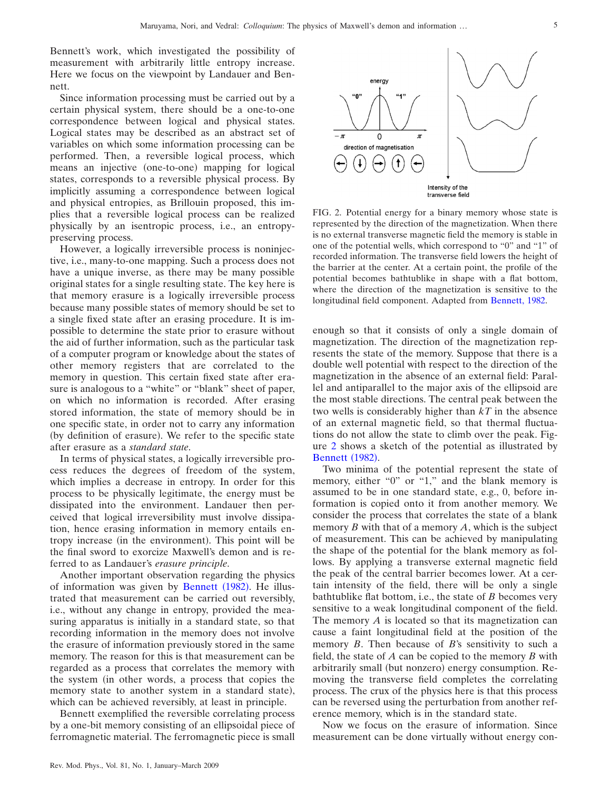Bennett's work, which investigated the possibility of measurement with arbitrarily little entropy increase. Here we focus on the viewpoint by Landauer and Bennett.

Since information processing must be carried out by a certain physical system, there should be a one-to-one correspondence between logical and physical states. Logical states may be described as an abstract set of variables on which some information processing can be performed. Then, a reversible logical process, which means an injective (one-to-one) mapping for logical states, corresponds to a reversible physical process. By implicitly assuming a correspondence between logical and physical entropies, as Brillouin proposed, this implies that a reversible logical process can be realized physically by an isentropic process, i.e., an entropypreserving process.

However, a logically irreversible process is noninjective, i.e., many-to-one mapping. Such a process does not have a unique inverse, as there may be many possible original states for a single resulting state. The key here is that memory erasure is a logically irreversible process because many possible states of memory should be set to a single fixed state after an erasing procedure. It is impossible to determine the state prior to erasure without the aid of further information, such as the particular task of a computer program or knowledge about the states of other memory registers that are correlated to the memory in question. This certain fixed state after erasure is analogous to a "white" or "blank" sheet of paper, on which no information is recorded. After erasing stored information, the state of memory should be in one specific state, in order not to carry any information (by definition of erasure). We refer to the specific state after erasure as a *standard state*.

In terms of physical states, a logically irreversible process reduces the degrees of freedom of the system, which implies a decrease in entropy. In order for this process to be physically legitimate, the energy must be dissipated into the environment. Landauer then perceived that logical irreversibility must involve dissipation, hence erasing information in memory entails entropy increase (in the environment). This point will be the final sword to exorcize Maxwell's demon and is referred to as Landauer's *erasure principle*.

Another important observation regarding the physics of information was given by [Bennett](#page-21-5) (1982). He illustrated that measurement can be carried out reversibly, i.e., without any change in entropy, provided the measuring apparatus is initially in a standard state, so that recording information in the memory does not involve the erasure of information previously stored in the same memory. The reason for this is that measurement can be regarded as a process that correlates the memory with the system (in other words, a process that copies the memory state to another system in a standard state), which can be achieved reversibly, at least in principle.

Bennett exemplified the reversible correlating process by a one-bit memory consisting of an ellipsoidal piece of ferromagnetic material. The ferromagnetic piece is small

FIG. 2. Potential energy for a binary memory whose state is represented by the direction of the magnetization. When there is no external transverse magnetic field the memory is stable in one of the potential wells, which correspond to "0" and "1" of recorded information. The transverse field lowers the height of the barrier at the center. At a certain point, the profile of the potential becomes bathtublike in shape with a flat bottom, where the direction of the magnetization is sensitive to the longitudinal field component. Adapted from [Bennett, 1982.](#page-21-5)

enough so that it consists of only a single domain of magnetization. The direction of the magnetization represents the state of the memory. Suppose that there is a double well potential with respect to the direction of the magnetization in the absence of an external field: Parallel and antiparallel to the major axis of the ellipsoid are the most stable directions. The central peak between the two wells is considerably higher than *kT* in the absence of an external magnetic field, so that thermal fluctuations do not allow the state to climb over the peak. Figure [2](#page-4-0) shows a sketch of the potential as illustrated by [Bennett](#page-21-5) (1982).

Two minima of the potential represent the state of memory, either "0" or "1," and the blank memory is assumed to be in one standard state, e.g., 0, before information is copied onto it from another memory. We consider the process that correlates the state of a blank memory *B* with that of a memory *A*, which is the subject of measurement. This can be achieved by manipulating the shape of the potential for the blank memory as follows. By applying a transverse external magnetic field the peak of the central barrier becomes lower. At a certain intensity of the field, there will be only a single bathtublike flat bottom, i.e., the state of *B* becomes very sensitive to a weak longitudinal component of the field. The memory *A* is located so that its magnetization can cause a faint longitudinal field at the position of the memory *B*. Then because of *B*'s sensitivity to such a field, the state of *A* can be copied to the memory *B* with arbitrarily small (but nonzero) energy consumption. Removing the transverse field completes the correlating process. The crux of the physics here is that this process can be reversed using the perturbation from another reference memory, which is in the standard state.

Now we focus on the erasure of information. Since measurement can be done virtually without energy con-

<span id="page-4-0"></span>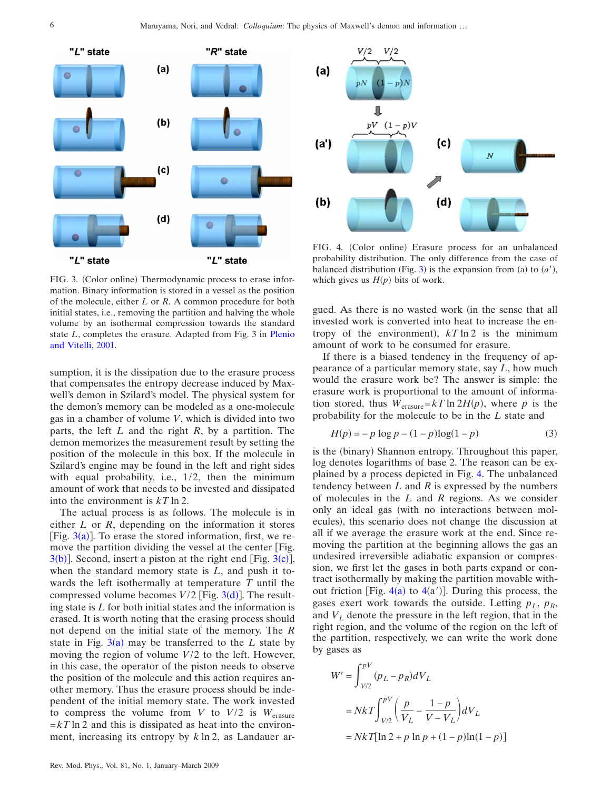<span id="page-5-1"></span>

FIG. 3. (Color online) Thermodynamic process to erase information. Binary information is stored in a vessel as the position of the molecule, either *L* or *R*. A common procedure for both initial states, i.e., removing the partition and halving the whole volume by an isothermal compression towards the standard state *L*, completes the erasure. Adapted from Fig. 3 in [Plenio](#page-22-9) [and Vitelli, 2001.](#page-22-9)

sumption, it is the dissipation due to the erasure process that compensates the entropy decrease induced by Maxwell's demon in Szilard's model. The physical system for the demon's memory can be modeled as a one-molecule gas in a chamber of volume *V*, which is divided into two parts, the left *L* and the right *R*, by a partition. The demon memorizes the measurement result by setting the position of the molecule in this box. If the molecule in Szilard's engine may be found in the left and right sides with equal probability, i.e., 1/2, then the minimum amount of work that needs to be invested and dissipated into the environment is *kT* ln 2.

The actual process is as follows. The molecule is in either *L* or *R*, depending on the information it stores [Fig.  $3(a)$  $3(a)$ ]. To erase the stored information, first, we remove the partition dividing the vessel at the center [Fig.  $3(b)$  $3(b)$  $3(b)$ ]. Second, insert a piston at the right end [Fig.  $3(c)$  $3(c)$ ], when the standard memory state is *L*, and push it towards the left isothermally at temperature *T* until the compresse[d](#page-5-1) volume becomes  $V/2$  [Fig. 3(d)]. The resulting state is *L* for both initial states and the information is erased. It is worth noting that the erasing process should not depend on the initial state of the memory. The *R* state in Fig.  $3(a)$  $3(a)$  may be transferred to the *L* state by moving the region of volume *V*/2 to the left. However, in this case, the operator of the piston needs to observe the position of the molecule and this action requires another memory. Thus the erasure process should be independent of the initial memory state. The work invested to compress the volume from  $V$  to  $V/2$  is  $W_{\text{erasure}}$  $=kT \ln 2$  and this is dissipated as heat into the environment, increasing its entropy by *k* ln 2, as Landauer ar-

<span id="page-5-0"></span>

FIG. 4. (Color online) Erasure process for an unbalanced probability distribution. The only difference from the case of balanced distribution (Fig. [3](#page-5-1)) is the expansion from (a) to  $(a')$ , which gives us  $H(p)$  bits of work.

gued. As there is no wasted work (in the sense that all invested work is converted into heat to increase the entropy of the environment),  $kT \ln 2$  is the minimum amount of work to be consumed for erasure.

If there is a biased tendency in the frequency of appearance of a particular memory state, say *L*, how much would the erasure work be? The answer is simple: the erasure work is proportional to the amount of information stored, thus  $W_{\text{erasure}} = kT \ln 2H(p)$ , where p is the probability for the molecule to be in the *L* state and

$$
H(p) = -p \log p - (1 - p) \log(1 - p)
$$
 (3)

is the (binary) Shannon entropy. Throughout this paper, log denotes logarithms of base 2. The reason can be explained by a process depicted in Fig. [4.](#page-5-0) The unbalanced tendency between *L* and *R* is expressed by the numbers of molecules in the *L* and *R* regions. As we consider only an ideal gas with no interactions between molecules), this scenario does not change the discussion at all if we average the erasure work at the end. Since removing the partition at the beginning allows the gas an undesired irreversible adiabatic expansion or compression, we first let the gases in both parts expand or contract isothermally by making the partition movable without friction [Fig.  $4(a)$  $4(a)$  to  $4(a')$ ]. During this process, the gases exert work towards the outside. Letting  $p_L$ ,  $p_R$ , and  $V<sub>L</sub>$  denote the pressure in the left region, that in the right region, and the volume of the region on the left of the partition, respectively, we can write the work done by gases as

<span id="page-5-2"></span>
$$
W' = \int_{V/2}^{pV} (p_L - p_R) dV_L
$$
  
=  $NkT \int_{V/2}^{pV} \left( \frac{p}{V_L} - \frac{1-p}{V - V_L} \right) dV_L$   
=  $NkT[\ln 2 + p \ln p + (1-p)\ln(1-p)]$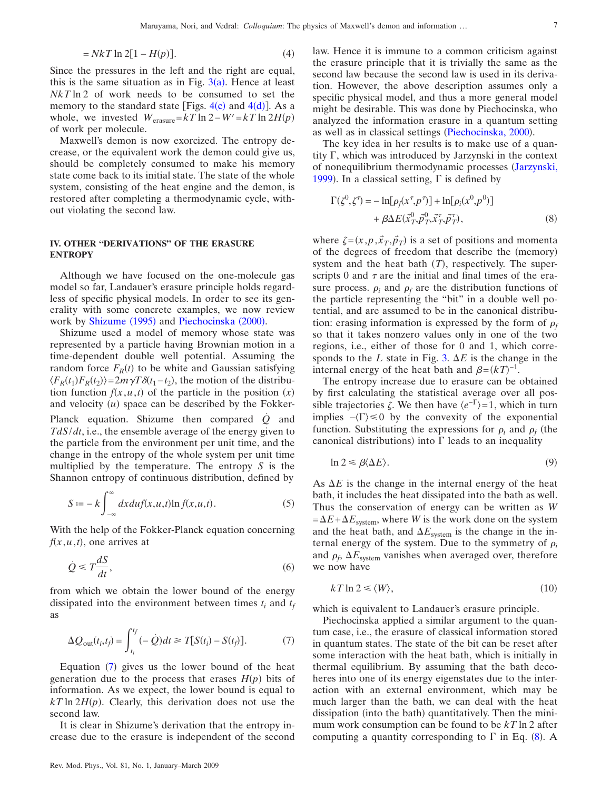$$
= NkT \ln 2[1 - H(p)]. \tag{4}
$$

Since the pressures in the left and the right are equal, this is the same situation as in Fig.  $3(a)$  $3(a)$ . Hence at least *NkT* ln 2 of work needs to be consumed to set the memory to the stan[d](#page-5-0)ard state [Figs.  $4(c)$  $4(c)$  and  $4(d)$ ]. As a whole, we invested  $W_{\text{erasure}} = kT \ln 2 - W' = kT \ln 2H(p)$ of work per molecule.

Maxwell's demon is now exorcized. The entropy decrease, or the equivalent work the demon could give us, should be completely consumed to make his memory state come back to its initial state. The state of the whole system, consisting of the heat engine and the demon, is restored after completing a thermodynamic cycle, without violating the second law.

# **IV. OTHER "DERIVATIONS" OF THE ERASURE ENTROPY**

Although we have focused on the one-molecule gas model so far, Landauer's erasure principle holds regardless of specific physical models. In order to see its generality with some concrete examples, we now review work by [Shizume](#page-22-13) (1995) and [Piechocinska](#page-22-14) (2000).

Shizume used a model of memory whose state was represented by a particle having Brownian motion in a time-dependent double well potential. Assuming the random force  $F_R(t)$  to be white and Gaussian satisfying  $\langle F_R(t_1) F_R(t_2) \rangle = 2m \gamma T \delta(t_1 - t_2)$ , the motion of the distribution function  $f(x, u, t)$  of the particle in the position  $(x)$ and velocity  $(u)$  space can be described by the Fokker-Planck equation. Shizume then compared *Q˙* and *TdS*/*dt*, i.e., the ensemble average of the energy given to the particle from the environment per unit time, and the change in the entropy of the whole system per unit time multiplied by the temperature. The entropy *S* is the Shannon entropy of continuous distribution, defined by

$$
S := -k \int_{-\infty}^{\infty} dx du f(x, u, t) \ln f(x, u, t).
$$
 (5)

With the help of the Fokker-Planck equation concerning  $f(x, u, t)$ , one arrives at

$$
\dot{Q} \le T \frac{dS}{dt},\tag{6}
$$

from which we obtain the lower bound of the energy dissipated into the environment between times  $t_i$  and  $t_f$ as

<span id="page-6-0"></span>
$$
\Delta Q_{\text{out}}(t_i, t_f) = \int_{t_i}^{t_f} (-\dot{Q})dt \ge T[S(t_i) - S(t_f)].
$$
\n(7)

Equation  $(7)$  $(7)$  $(7)$  gives us the lower bound of the heat generation due to the process that erases  $H(p)$  bits of information. As we expect, the lower bound is equal to  $kT \ln 2H(p)$ . Clearly, this derivation does not use the second law.

It is clear in Shizume's derivation that the entropy increase due to the erasure is independent of the second law. Hence it is immune to a common criticism against the erasure principle that it is trivially the same as the second law because the second law is used in its derivation. However, the above description assumes only a specific physical model, and thus a more general model might be desirable. This was done by Piechocinska, who analyzed the information erasure in a quantum setting as well as in classical settings ([Piechocinska, 2000](#page-22-14)).

The key idea in her results is to make use of a quantity  $\Gamma$ , which was introduced by Jarzynski in the context of nonequilibrium thermodynamic processes [Jarzynski,](#page-22-15) [1999](#page-22-15)). In a classical setting,  $\Gamma$  is defined by

<span id="page-6-1"></span>
$$
\Gamma(\zeta^0, \zeta^{\tau}) = -\ln[\rho_f(x^{\tau}, p^{\tau})] + \ln[\rho_i(x^0, p^0)]
$$

$$
+ \beta \Delta E(\vec{x}_T^0, \vec{p}_T^0, \vec{x}_T^{\tau}, \vec{p}_T^{\tau}), \qquad (8)
$$

where  $\zeta = (x, p, \vec{x}_T, \vec{p}_T)$  is a set of positions and momenta of the degrees of freedom that describe the (memory) system and the heat bath  $(T)$ , respectively. The superscripts 0 and  $\tau$  are the initial and final times of the erasure process.  $\rho_i$  and  $\rho_f$  are the distribution functions of the particle representing the "bit" in a double well potential, and are assumed to be in the canonical distribution: erasing information is expressed by the form of  $\rho_f$ so that it takes nonzero values only in one of the two regions, i.e., either of those for 0 and 1, which corresponds to the *L* state in Fig. [3.](#page-5-1)  $\Delta E$  is the change in the internal energy of the heat bath and  $\beta = (kT)^{-1}$ .

The entropy increase due to erasure can be obtained by first calculating the statistical average over all possible trajectories  $\zeta$ . We then have  $\langle e^{-\Gamma} \rangle = 1$ , which in turn implies  $-\langle \Gamma \rangle \le 0$  by the convexity of the exponential function. Substituting the expressions for  $\rho_i$  and  $\rho_f$  (the canonical distributions) into  $\Gamma$  leads to an inequality

$$
\ln 2 \le \beta \langle \Delta E \rangle. \tag{9}
$$

As  $\Delta E$  is the change in the internal energy of the heat bath, it includes the heat dissipated into the bath as well. Thus the conservation of energy can be written as *W*  $=\Delta E + \Delta E_{\text{system}}$ , where *W* is the work done on the system and the heat bath, and  $\Delta E_{\text{system}}$  is the change in the internal energy of the system. Due to the symmetry of  $\rho_i$ and  $\rho_f$ ,  $\Delta E_{\text{system}}$  vanishes when averaged over, therefore we now have

$$
kT \ln 2 \le \langle W \rangle, \tag{10}
$$

which is equivalent to Landauer's erasure principle.

Piechocinska applied a similar argument to the quantum case, i.e., the erasure of classical information stored in quantum states. The state of the bit can be reset after some interaction with the heat bath, which is initially in thermal equilibrium. By assuming that the bath decoheres into one of its energy eigenstates due to the interaction with an external environment, which may be much larger than the bath, we can deal with the heat dissipation (into the bath) quantitatively. Then the minimum work consumption can be found to be *kT* ln 2 after computing a quantity corresponding to  $\Gamma$  in Eq. ([8](#page-6-1)). A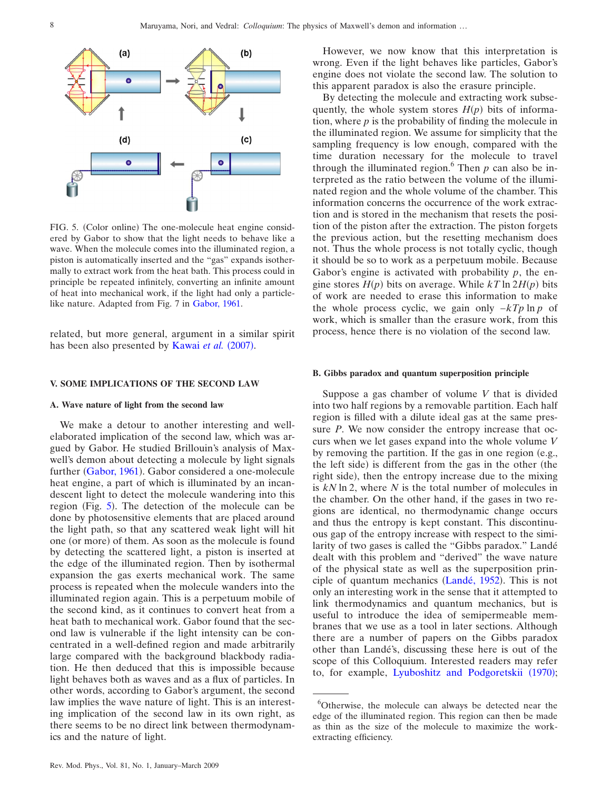<span id="page-7-0"></span>

FIG. 5. (Color online) The one-molecule heat engine considered by Gabor to show that the light needs to behave like a wave. When the molecule comes into the illuminated region, a piston is automatically inserted and the "gas" expands isothermally to extract work from the heat bath. This process could in principle be repeated infinitely, converting an infinite amount of heat into mechanical work, if the light had only a particlelike nature. Adapted from Fig. 7 in [Gabor, 1961.](#page-21-2)

related, but more general, argument in a similar spirit has been also presented by [Kawai](#page-22-16) et al. (2007).

#### **V. SOME IMPLICATIONS OF THE SECOND LAW**

### **A. Wave nature of light from the second law**

We make a detour to another interesting and wellelaborated implication of the second law, which was argued by Gabor. He studied Brillouin's analysis of Maxwell's demon about detecting a molecule by light signals further ([Gabor, 1961](#page-21-2)). Gabor considered a one-molecule heat engine, a part of which is illuminated by an incandescent light to detect the molecule wandering into this region (Fig. [5](#page-7-0)). The detection of the molecule can be done by photosensitive elements that are placed around the light path, so that any scattered weak light will hit one (or more) of them. As soon as the molecule is found by detecting the scattered light, a piston is inserted at the edge of the illuminated region. Then by isothermal expansion the gas exerts mechanical work. The same process is repeated when the molecule wanders into the illuminated region again. This is a perpetuum mobile of the second kind, as it continues to convert heat from a heat bath to mechanical work. Gabor found that the second law is vulnerable if the light intensity can be concentrated in a well-defined region and made arbitrarily large compared with the background blackbody radiation. He then deduced that this is impossible because light behaves both as waves and as a flux of particles. In other words, according to Gabor's argument, the second law implies the wave nature of light. This is an interesting implication of the second law in its own right, as there seems to be no direct link between thermodynamics and the nature of light.

However, we now know that this interpretation is wrong. Even if the light behaves like particles, Gabor's engine does not violate the second law. The solution to this apparent paradox is also the erasure principle.

By detecting the molecule and extracting work subsequently, the whole system stores  $H(p)$  bits of information, where *p* is the probability of finding the molecule in the illuminated region. We assume for simplicity that the sampling frequency is low enough, compared with the time duration necessary for the molecule to travel through the illuminated region.<sup>6</sup> Then  $p$  can also be interpreted as the ratio between the volume of the illuminated region and the whole volume of the chamber. This information concerns the occurrence of the work extraction and is stored in the mechanism that resets the position of the piston after the extraction. The piston forgets the previous action, but the resetting mechanism does not. Thus the whole process is not totally cyclic, though it should be so to work as a perpetuum mobile. Because Gabor's engine is activated with probability *p*, the engine stores  $H(p)$  bits on average. While  $kT \ln 2H(p)$  bits of work are needed to erase this information to make the whole process cyclic, we gain only −*kTp* ln *p* of work, which is smaller than the erasure work, from this process, hence there is no violation of the second law.

#### **B. Gibbs paradox and quantum superposition principle**

Suppose a gas chamber of volume *V* that is divided into two half regions by a removable partition. Each half region is filled with a dilute ideal gas at the same pressure *P*. We now consider the entropy increase that occurs when we let gases expand into the whole volume *V* by removing the partition. If the gas in one region  $(e.g.,)$ the left side) is different from the gas in the other (the right side), then the entropy increase due to the mixing is *kN* ln 2, where *N* is the total number of molecules in the chamber. On the other hand, if the gases in two regions are identical, no thermodynamic change occurs and thus the entropy is kept constant. This discontinuous gap of the entropy increase with respect to the similarity of two gases is called the "Gibbs paradox." Landé dealt with this problem and "derived" the wave nature of the physical state as well as the superposition prin-ciple of quantum mechanics ([Landé, 1952](#page-22-17)). This is not only an interesting work in the sense that it attempted to link thermodynamics and quantum mechanics, but is useful to introduce the idea of semipermeable membranes that we use as a tool in later sections. Although there are a number of papers on the Gibbs paradox other than Landé's, discussing these here is out of the scope of this Colloquium. Interested readers may refer to, for example, [Lyuboshitz and Podgoretskii](#page-22-18) (1970);

<sup>&</sup>lt;sup>6</sup>Otherwise, the molecule can always be detected near the edge of the illuminated region. This region can then be made as thin as the size of the molecule to maximize the workextracting efficiency.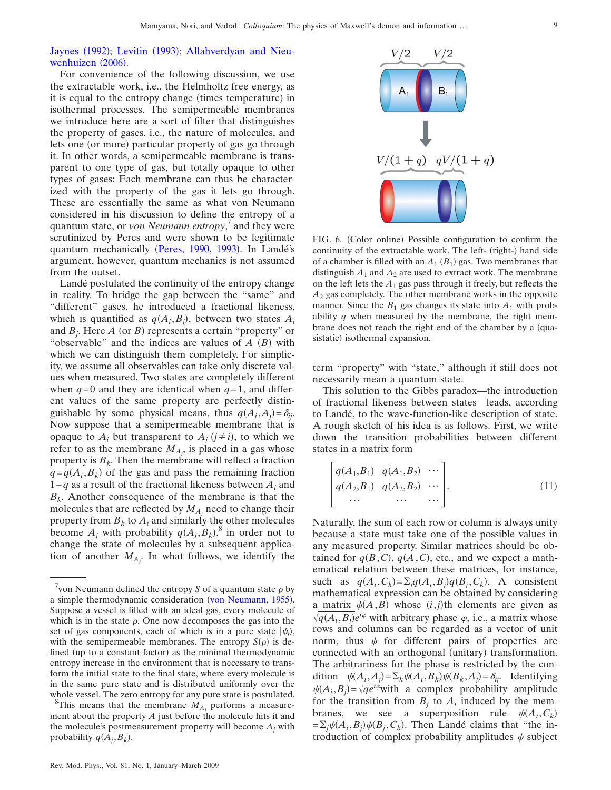# [Jaynes](#page-22-19) (1992); [Levitin](#page-22-20) (1993); [Allahverdyan and Nieu](#page-21-6)[wenhuizen](#page-21-6) (2006).

For convenience of the following discussion, we use the extractable work, i.e., the Helmholtz free energy, as it is equal to the entropy change (times temperature) in isothermal processes. The semipermeable membranes we introduce here are a sort of filter that distinguishes the property of gases, i.e., the nature of molecules, and lets one (or more) particular property of gas go through it. In other words, a semipermeable membrane is transparent to one type of gas, but totally opaque to other types of gases: Each membrane can thus be characterized with the property of the gas it lets go through. These are essentially the same as what von Neumann considered in his discussion to define the entropy of a quantum state, or *von Neumann entropy*, <sup>7</sup> and they were scrutinized by Peres and were shown to be legitimate quantum mechanically ([Peres, 1990,](#page-22-21) [1993](#page-22-22)). In Landé's argument, however, quantum mechanics is not assumed from the outset.

Landé postulated the continuity of the entropy change in reality. To bridge the gap between the "same" and "different" gases, he introduced a fractional likeness, which is quantified as  $q(A_i, B_j)$ , between two states  $A_i$ and  $B_j$ . Here *A* (or *B*) represents a certain "property" or "observable" and the indices are values of  $A$  ( $B$ ) with which we can distinguish them completely. For simplicity, we assume all observables can take only discrete values when measured. Two states are completely different when  $q=0$  and they are identical when  $q=1$ , and different values of the same property are perfectly distinguishable by some physical means, thus  $q(A_i, A_j) = \delta_{ij}$ . Now suppose that a semipermeable membrane that is opaque to  $A_i$  but transparent to  $A_j$  ( $j \neq i$ ), to which we refer to as the membrane  $M_{A_i}$ , is placed in a gas whose property is  $B_k$ . Then the membrane will reflect a fraction  $q = q(A_i, B_k)$  of the gas and pass the remaining fraction 1−*q* as a result of the fractional likeness between *Ai* and *Bk*. Another consequence of the membrane is that the molecules that are reflected by  $M_{A_i}$  need to change their property from  $B_k$  to  $A_i$  and similarly the other molecules become  $A_j$  with probability  $q(A_j, B_k)$ <sup>8</sup> in order not to change the state of molecules by a subsequent application of another  $M_{A_i}$ . In what follows, we identify the

<span id="page-8-0"></span>

FIG. 6. (Color online) Possible configuration to confirm the continuity of the extractable work. The left- (right-) hand side of a chamber is filled with an  $A_1$  ( $B_1$ ) gas. Two membranes that distinguish  $A_1$  and  $A_2$  are used to extract work. The membrane on the left lets the  $A_1$  gas pass through it freely, but reflects the *A*<sup>2</sup> gas completely. The other membrane works in the opposite manner. Since the  $B_1$  gas changes its state into  $A_1$  with probability *q* when measured by the membrane, the right membrane does not reach the right end of the chamber by a (quasistatic) isothermal expansion.

term "property" with "state," although it still does not necessarily mean a quantum state.

This solution to the Gibbs paradox—the introduction of fractional likeness between states—leads, according to Landé, to the wave-function-like description of state. A rough sketch of his idea is as follows. First, we write down the transition probabilities between different states in a matrix form

$$
\begin{bmatrix} q(A_1, B_1) & q(A_1, B_2) & \cdots \\ q(A_2, B_1) & q(A_2, B_2) & \cdots \\ \cdots & \cdots & \cdots \end{bmatrix}.
$$
 (11)

Naturally, the sum of each row or column is always unity because a state must take one of the possible values in any measured property. Similar matrices should be obtained for  $q(B, C), q(A, C)$ , etc., and we expect a mathematical relation between these matrices, for instance, such as  $q(A_i, C_k) = \sum_j q(A_i, B_j) q(B_j, C_k)$ . A consistent mathematical expression can be obtained by considering a matrix  $\psi(A, B)$  whose  $(i, j)$ th elements are given as  $\sqrt{q(A_i, B_j)}e^{i\varphi}$  with arbitrary phase  $\varphi$ , i.e., a matrix whose rows and columns can be regarded as a vector of unit norm, thus  $\psi$  for different pairs of properties are connected with an orthogonal (unitary) transformation. The arbitrariness for the phase is restricted by the condition  $\psi(A_i, A_j) = \sum_k \psi(A_i, B_k) \psi(B_k, A_j) = \delta_{ij}$ . Identifying  $\psi(A_i, B_j) = \sqrt{q}e^{i\phi}$  with a complex probability amplitude for the transition from  $B_i$  to  $A_i$  induced by the membranes, we see a superposition rule  $\psi(A_i, C_k)$  $=\sum_j \psi(A_i, B_j) \psi(B_j, C_k)$ . Then Landé claims that "the introduction of complex probability amplitudes  $\psi$  subject

 $\sigma$ <sup>7</sup>von Neumann defined the entropy *S* of a quantum state  $\rho$  by a simple thermodynamic consideration ([von Neumann, 1955](#page-22-23)). Suppose a vessel is filled with an ideal gas, every molecule of which is in the state  $\rho$ . One now decomposes the gas into the set of gas components, each of which is in a pure state  $|\psi_i\rangle$ , with the semipermeable membranes. The entropy  $S(\rho)$  is defined (up to a constant factor) as the minimal thermodynamic entropy increase in the environment that is necessary to transform the initial state to the final state, where every molecule is in the same pure state and is distributed uniformly over the whole vessel. The zero entropy for any pure state is postulated.

 ${}^{8}$ This means that the membrane  $M_{A_i}$  performs a measurement about the property *A* just before the molecule hits it and the molecule's postmeasurement property will become  $A_i$  with probability  $q(A_j, B_k)$ .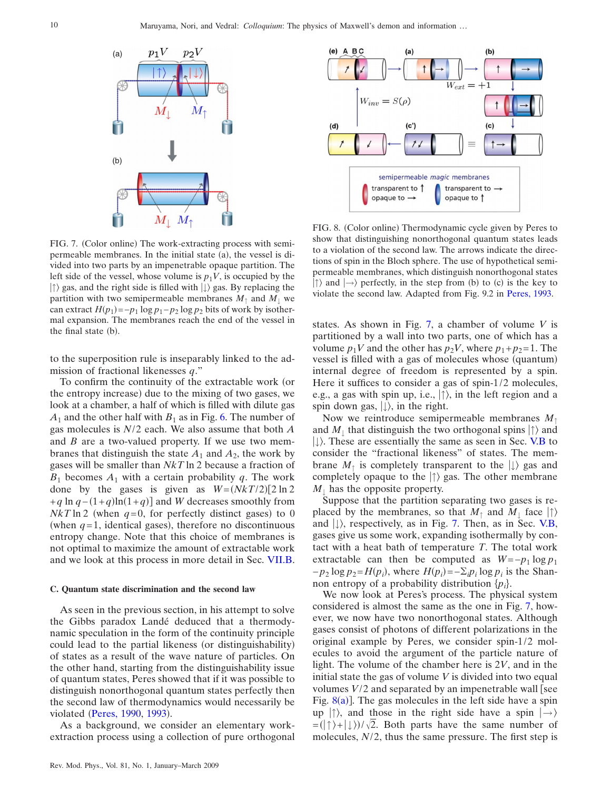<span id="page-9-0"></span>

FIG. 7. (Color online) The work-extracting process with semipermeable membranes. In the initial state (a), the vessel is divided into two parts by an impenetrable opaque partition. The left side of the vessel, whose volume is  $p_1V$ , is occupied by the  $| \uparrow \rangle$  gas, and the right side is filled with  $| \downarrow \rangle$  gas. By replacing the partition with two semipermeable membranes  $M_{\uparrow}$  and  $M_{\downarrow}$  we can extract  $H(p_1) = -p_1 \log p_1 - p_2 \log p_2$  bits of work by isothermal expansion. The membranes reach the end of the vessel in the final state (b).

to the superposition rule is inseparably linked to the admission of fractional likenesses *q*."

To confirm the continuity of the extractable work (or the entropy increase) due to the mixing of two gases, we look at a chamber, a half of which is filled with dilute gas  $A_1$  and the other half with  $B_1$  as in Fig. [6.](#page-8-0) The number of gas molecules is *N*/2 each. We also assume that both *A* and *B* are a two-valued property. If we use two membranes that distinguish the state  $A_1$  and  $A_2$ , the work by gases will be smaller than *NkT* ln 2 because a fraction of  $B_1$  becomes  $A_1$  with a certain probability *q*. The work done by the gases is given as  $W = (NkT/2)[2 \ln 2]$  $+q \ln q - (1+q) \ln(1+q)$  and *W* decreases smoothly from  $NkT \ln 2$  (when  $q=0$ , for perfectly distinct gases) to 0 (when  $q=1$ , identical gases), therefore no discontinuous entropy change. Note that this choice of membranes is not optimal to maximize the amount of extractable work and we look at this process in more detail in Sec. VII.B.

#### **C. Quantum state discrimination and the second law**

As seen in the previous section, in his attempt to solve the Gibbs paradox Landé deduced that a thermodynamic speculation in the form of the continuity principle could lead to the partial likeness (or distinguishability) of states as a result of the wave nature of particles. On the other hand, starting from the distinguishability issue of quantum states, Peres showed that if it was possible to distinguish nonorthogonal quantum states perfectly then the second law of thermodynamics would necessarily be violated ([Peres, 1990,](#page-22-21) [1993](#page-22-22)).

As a background, we consider an elementary workextraction process using a collection of pure orthogonal

<span id="page-9-1"></span>

FIG. 8. (Color online) Thermodynamic cycle given by Peres to show that distinguishing nonorthogonal quantum states leads to a violation of the second law. The arrows indicate the directions of spin in the Bloch sphere. The use of hypothetical semipermeable membranes, which distinguish nonorthogonal states  $| \uparrow \rangle$  and  $| \rightarrow \rangle$  perfectly, in the step from (b) to (c) is the key to violate the second law. Adapted from Fig. 9.2 in [Peres, 1993.](#page-22-22)

states. As shown in Fig. [7,](#page-9-0) a chamber of volume *V* is partitioned by a wall into two parts, one of which has a volume  $p_1V$  and the other has  $p_2V$ , where  $p_1+p_2=1$ . The vessel is filled with a gas of molecules whose (quantum) internal degree of freedom is represented by a spin. Here it suffices to consider a gas of spin-1/2 molecules, e.g., a gas with spin up, i.e.,  $|\uparrow\rangle$ , in the left region and a spin down gas,  $|\downarrow\rangle$ , in the right.

Now we reintroduce semipermeable membranes *M*<sup>↑</sup> and  $M_1$  that distinguish the two orthogonal spins  $|\uparrow\rangle$  and  $|\downarrow\rangle$ . These are essentially the same as seen in Sec. V.B to consider the "fractional likeness" of states. The membrane  $M_1$  is completely transparent to the  $| \downarrow \rangle$  gas and completely opaque to the  $| \uparrow \rangle$  gas. The other membrane  $M_{\perp}$  has the opposite property.

Suppose that the partition separating two gases is replaced by the membranes, so that  $M_1$  and  $M_1$  face  $|\uparrow\rangle$ and  $|\downarrow\rangle$ , respectively, as in Fig. [7.](#page-9-0) Then, as in Sec. V.B, gases give us some work, expanding isothermally by contact with a heat bath of temperature *T*. The total work extractable can then be computed as  $W=-p_1 \log p_1$  $-p_2 \log p_2 = H(p_i)$ , where  $H(p_i) = -\sum_i p_i \log p_i$  is the Shannon entropy of a probability distribution  $\{p_i\}$ .

We now look at Peres's process. The physical system considered is almost the same as the one in Fig. [7,](#page-9-0) however, we now have two nonorthogonal states. Although gases consist of photons of different polarizations in the original example by Peres, we consider spin-1/2 molecules to avoid the argument of the particle nature of light. The volume of the chamber here is 2*V*, and in the initial state the gas of volume *V* is divided into two equal volumes  $V/2$  and separated by an impenetrable wall [see Fig.  $8(a)$  $8(a)$ ]. The gas molecules in the left side have a spin up  $|\uparrow\rangle$ , and those in the right side have a spin  $|\rightarrow\rangle$  $=(|\uparrow\rangle+|\downarrow\rangle)/\sqrt{2}$ . Both parts have the same number of molecules,  $N/2$ , thus the same pressure. The first step is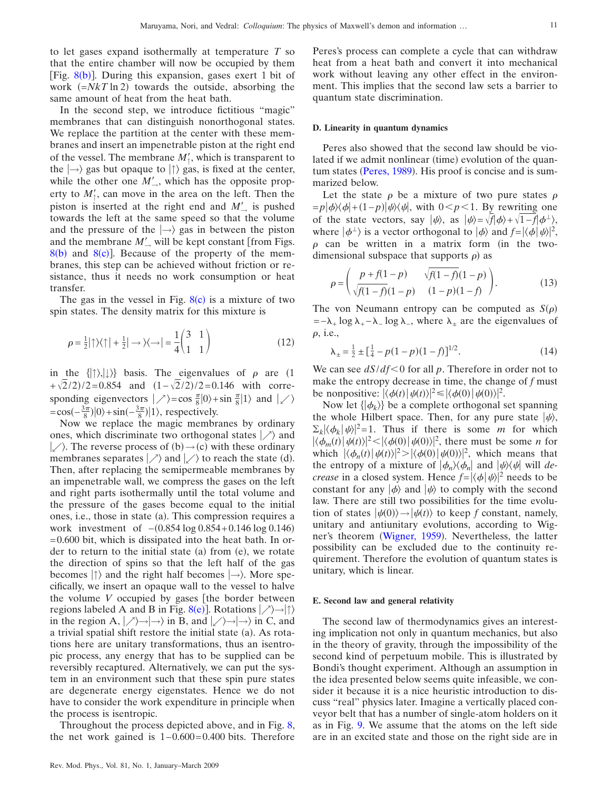to let gases expand isothermally at temperature *T* so that the entire chamber will now be occupied by them [Fig. 8([b](#page-9-1))]. During this expansion, gases exert 1 bit of work  $(=\!NkT \ln 2)$  towards the outside, absorbing the same amount of heat from the heat bath.

In the second step, we introduce fictitious "magic" membranes that can distinguish nonorthogonal states. We replace the partition at the center with these membranes and insert an impenetrable piston at the right end of the vessel. The membrane  $M'_1$ , which is transparent to the  $\ket{\rightarrow}$  gas but opaque to  $\ket{\uparrow}$  gas, is fixed at the center, while the other one  $M'_{-}$ , which has the opposite property to  $M'_{\uparrow}$ , can move in the area on the left. Then the piston is inserted at the right end and  $M'$  is pushed towards the left at the same speed so that the volume and the pressure of the  $\ket{\rightarrow}$  gas in between the piston and the membrane  $M'_{\rightharpoonup}$  will be kept constant [from Figs.  $8(b)$  $8(b)$  $8(b)$  and  $8(c)$  $8(c)$ ]. Because of the property of the membranes, this step can be achieved without friction or resistance, thus it needs no work consumption or heat transfer.

The gas in the vessel in Fig.  $8(c)$  $8(c)$  is a mixture of two spin states. The density matrix for this mixture is

$$
\rho = \frac{1}{2} |\uparrow\rangle\langle\uparrow| + \frac{1}{2} |\longrightarrow\rangle\langle\longrightarrow| = \frac{1}{4} \begin{pmatrix} 3 & 1\\ 1 & 1 \end{pmatrix}
$$
 (12)

in the  $\{|\uparrow\rangle, |\downarrow\rangle\}$  basis. The eigenvalues of  $\rho$  are (1  $+\sqrt{2}/2$ )/2=0.854 and  $(1-\sqrt{2}/2)/2=0.146$  with corresponding eigenvectors  $|\nearrow\rangle = \cos\frac{\pi}{8} |0\rangle + \sin\frac{\pi}{8} |1\rangle$  and  $|\nearrow\rangle$  $=\cos(-\frac{3\pi}{8})|0\rangle + \sin(-\frac{3\pi}{8})|1\rangle$ , respectively.

Now we replace the magic membranes by ordinary ones, which discriminate two orthogonal states  $|\nearrow\rangle$  and  $\ket{\swarrow}$ . The reverse process of (b)  $\rightarrow$  (c) with these ordinary membranes separates  $|\nearrow\rangle$  and  $|\nearrow\rangle$  to reach the state (d). Then, after replacing the semipermeable membranes by an impenetrable wall, we compress the gases on the left and right parts isothermally until the total volume and the pressure of the gases become equal to the initial ones, i.e., those in state (a). This compression requires a work investment of −0.854 log 0.854+0.146 log 0.146-  $=0.600$  bit, which is dissipated into the heat bath. In order to return to the initial state (a) from (e), we rotate the direction of spins so that the left half of the gas becomes  $|\uparrow\rangle$  and the right half becomes  $|\rightarrow\rangle$ . More specifically, we insert an opaque wall to the vessel to halve the volume  $V$  occupied by gases [the border between regions labeled A and B in Fig. [8](#page-9-1)(e)]. Rotations  $|\nearrow\rangle \rightarrow |\uparrow\rangle$ in the region A,  $|\nearrow\rangle \rightarrow |\rightarrow\rangle$  in B, and  $|\nearrow\rangle \rightarrow |\rightarrow\rangle$  in C, and a trivial spatial shift restore the initial state (a). As rotations here are unitary transformations, thus an isentropic process, any energy that has to be supplied can be reversibly recaptured. Alternatively, we can put the system in an environment such that these spin pure states are degenerate energy eigenstates. Hence we do not have to consider the work expenditure in principle when the process is isentropic.

Throughout the process depicted above, and in Fig. [8,](#page-9-1) the net work gained is  $1-0.600=0.400$  bits. Therefore Peres's process can complete a cycle that can withdraw heat from a heat bath and convert it into mechanical work without leaving any other effect in the environment. This implies that the second law sets a barrier to quantum state discrimination.

# **D. Linearity in quantum dynamics**

Peres also showed that the second law should be violated if we admit nonlinear (time) evolution of the quan-tum states ([Peres, 1989](#page-22-24)). His proof is concise and is summarized below.

Let the state  $\rho$  be a mixture of two pure states  $\rho$  $=p|\phi\rangle\langle\phi|+(1-p)|\psi\rangle\langle\psi|$ , with  $0 < p < 1$ . By rewriting one of the state vectors, say  $|\psi\rangle$ , as  $|\psi\rangle = \sqrt{f}|\phi\rangle + \sqrt{1-f}|\phi^{\perp}\rangle$ , where  $|\phi^{\perp}\rangle$  is a vector orthogonal to  $|\phi\rangle$  and  $f=|\langle\phi|\psi\rangle|^2$ ,  $\rho$  can be written in a matrix form (in the twodimensional subspace that supports  $\rho$ ) as

$$
\rho = \begin{pmatrix} p+f(1-p) & \sqrt{f(1-f)}(1-p) \\ \sqrt{f(1-f)}(1-p) & (1-p)(1-f) \end{pmatrix}.
$$
 (13)

The von Neumann entropy can be computed as  $S(\rho)$  $=-\lambda_{+} \log \lambda_{+} - \lambda_{-} \log \lambda_{-}$ , where  $\lambda_{+}$  are the eigenvalues of  $\rho$ , i.e.,

$$
\lambda_{\pm} = \frac{1}{2} \pm \left[ \frac{1}{4} - p(1-p)(1-f) \right]^{1/2}.
$$
 (14)

We can see  $dS/df \le 0$  for all *p*. Therefore in order not to make the entropy decrease in time, the change of *f* must be nonpositive:  $|\langle \phi(t) | \psi(t) \rangle|^2 \le |\langle \phi(0) | \psi(0) \rangle|^2$ .

Now let  $\{\phi_k\}$  be a complete orthogonal set spanning the whole Hilbert space. Then, for any pure state  $|\psi\rangle$ ,  $\sum_k |\langle \phi_k | \psi \rangle|^2 = 1$ . Thus if there is some *m* for which  $|\langle \phi_m(t) | \psi(t) \rangle|^2$  <  $|\langle \phi(0) | \psi(0) \rangle|^2$ , there must be some *n* for which  $|\langle \phi_n(t) | \psi(t) \rangle|^2 > |\langle \phi(0) | \psi(0) \rangle|^2$ , which means that the entropy of a mixture of  $|\phi_n\rangle\langle\phi_n|$  and  $|\psi\rangle\langle\psi|$  will *decrease* in a closed system. Hence  $f = |\langle \phi | \psi \rangle|^2$  needs to be constant for any  $|\phi\rangle$  and  $|\psi\rangle$  to comply with the second law. There are still two possibilities for the time evolution of states  $|\psi(0)\rangle \rightarrow |\psi(t)\rangle$  to keep *f* constant, namely, unitary and antiunitary evolutions, according to Wig-ner's theorem ([Wigner, 1959](#page-22-25)). Nevertheless, the latter possibility can be excluded due to the continuity requirement. Therefore the evolution of quantum states is unitary, which is linear.

#### **E. Second law and general relativity**

The second law of thermodynamics gives an interesting implication not only in quantum mechanics, but also in the theory of gravity, through the impossibility of the second kind of perpetuum mobile. This is illustrated by Bondi's thought experiment. Although an assumption in the idea presented below seems quite infeasible, we consider it because it is a nice heuristic introduction to discuss "real" physics later. Imagine a vertically placed conveyor belt that has a number of single-atom holders on it as in Fig. [9.](#page-11-0) We assume that the atoms on the left side are in an excited state and those on the right side are in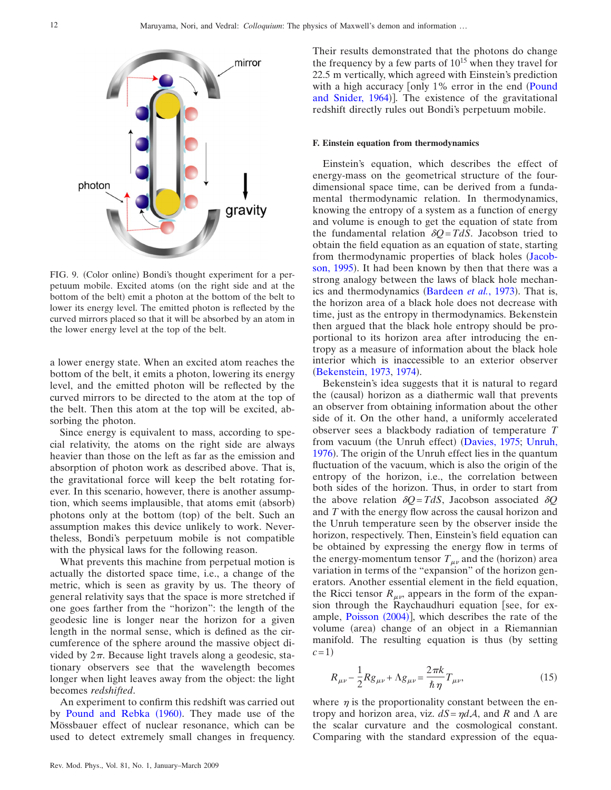<span id="page-11-0"></span>

FIG. 9. (Color online) Bondi's thought experiment for a perpetuum mobile. Excited atoms (on the right side and at the bottom of the belt) emit a photon at the bottom of the belt to lower its energy level. The emitted photon is reflected by the curved mirrors placed so that it will be absorbed by an atom in the lower energy level at the top of the belt.

a lower energy state. When an excited atom reaches the bottom of the belt, it emits a photon, lowering its energy level, and the emitted photon will be reflected by the curved mirrors to be directed to the atom at the top of the belt. Then this atom at the top will be excited, absorbing the photon.

Since energy is equivalent to mass, according to special relativity, the atoms on the right side are always heavier than those on the left as far as the emission and absorption of photon work as described above. That is, the gravitational force will keep the belt rotating forever. In this scenario, however, there is another assumption, which seems implausible, that atoms emit (absorb) photons only at the bottom (top) of the belt. Such an assumption makes this device unlikely to work. Nevertheless, Bondi's perpetuum mobile is not compatible with the physical laws for the following reason.

What prevents this machine from perpetual motion is actually the distorted space time, i.e., a change of the metric, which is seen as gravity by us. The theory of general relativity says that the space is more stretched if one goes farther from the "horizon": the length of the geodesic line is longer near the horizon for a given length in the normal sense, which is defined as the circumference of the sphere around the massive object divided by  $2\pi$ . Because light travels along a geodesic, stationary observers see that the wavelength becomes longer when light leaves away from the object: the light becomes *redshifted*.

An experiment to confirm this redshift was carried out by [Pound and Rebka](#page-22-26) (1960). They made use of the Mössbauer effect of nuclear resonance, which can be used to detect extremely small changes in frequency.

Their results demonstrated that the photons do change the frequency by a few parts of  $10^{15}$  when they travel for 22.5 m vertically, which agreed with Einstein's prediction with a high accuracy [only  $1\%$  error in the end ([Pound](#page-22-27) [and Snider, 1964](#page-22-27))]. The existence of the gravitational redshift directly rules out Bondi's perpetuum mobile.

#### **F. Einstein equation from thermodynamics**

Einstein's equation, which describes the effect of energy-mass on the geometrical structure of the fourdimensional space time, can be derived from a fundamental thermodynamic relation. In thermodynamics, knowing the entropy of a system as a function of energy and volume is enough to get the equation of state from the fundamental relation  $\delta Q = T dS$ . Jacobson tried to obtain the field equation as an equation of state, starting from thermodynamic properties of black holes ([Jacob](#page-21-7)[son, 1995](#page-21-7)). It had been known by then that there was a strong analogy between the laws of black hole mechan-ics and thermodynamics ([Bardeen](#page-21-8) et al., 1973). That is, the horizon area of a black hole does not decrease with time, just as the entropy in thermodynamics. Bekenstein then argued that the black hole entropy should be proportional to its horizon area after introducing the entropy as a measure of information about the black hole interior which is inaccessible to an exterior observer ([Bekenstein, 1973,](#page-21-9) [1974](#page-21-10)).

Bekenstein's idea suggests that it is natural to regard the (causal) horizon as a diathermic wall that prevents an observer from obtaining information about the other side of it. On the other hand, a uniformly accelerated observer sees a blackbody radiation of temperature *T* from vacuum (the Unruh effect) ([Davies, 1975;](#page-21-11) [Unruh,](#page-22-28) [1976](#page-22-28)). The origin of the Unruh effect lies in the quantum fluctuation of the vacuum, which is also the origin of the entropy of the horizon, i.e., the correlation between both sides of the horizon. Thus, in order to start from the above relation  $\delta Q = T dS$ , Jacobson associated  $\delta Q$ and *T* with the energy flow across the causal horizon and the Unruh temperature seen by the observer inside the horizon, respectively. Then, Einstein's field equation can be obtained by expressing the energy flow in terms of the energy-momentum tensor  $T_{\mu\nu}$  and the (horizon) area variation in terms of the "expansion" of the horizon generators. Another essential element in the field equation, the Ricci tensor  $R_{\mu\nu}$ , appears in the form of the expansion through the Raychaudhuri equation [see, for ex-ample, [Poisson](#page-22-29) (2004)], which describes the rate of the volume (area) change of an object in a Riemannian manifold. The resulting equation is thus (by setting  $c=1)$ 

$$
R_{\mu\nu} - \frac{1}{2} R g_{\mu\nu} + \Lambda g_{\mu\nu} = \frac{2\pi k}{\hbar \eta} T_{\mu\nu},\tag{15}
$$

where  $\eta$  is the proportionality constant between the entropy and horizon area, viz.  $dS = \eta dA$ , and *R* and  $\Lambda$  are the scalar curvature and the cosmological constant. Comparing with the standard expression of the equa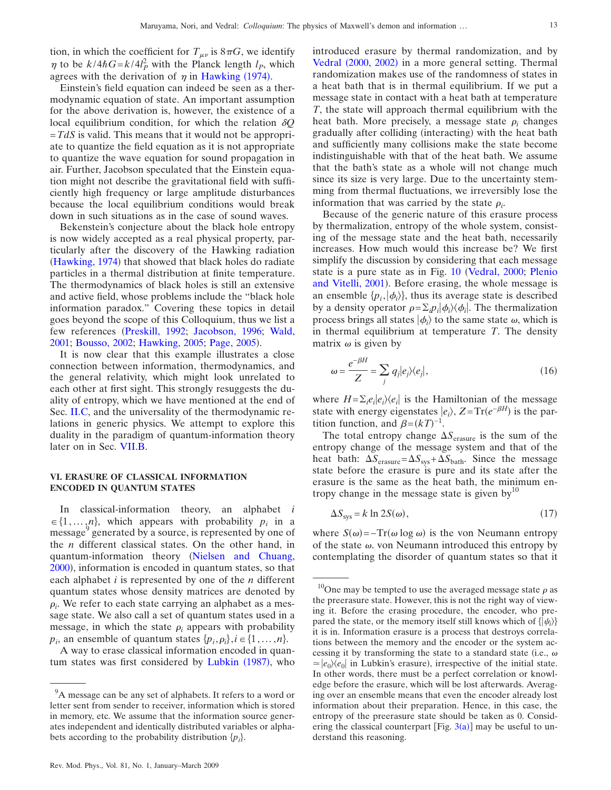tion, in which the coefficient for  $T_{\mu\nu}$  is  $8\pi G$ , we identify  $\eta$  to be  $k/4\hbar G = k/4l_P^2$  with the Planck length  $l_P$ , which agrees with the derivation of  $\eta$  in [Hawking](#page-21-12) (1974).

Einstein's field equation can indeed be seen as a thermodynamic equation of state. An important assumption for the above derivation is, however, the existence of a local equilibrium condition, for which the relation -*Q* =*TdS* is valid. This means that it would not be appropriate to quantize the field equation as it is not appropriate to quantize the wave equation for sound propagation in air. Further, Jacobson speculated that the Einstein equation might not describe the gravitational field with sufficiently high frequency or large amplitude disturbances because the local equilibrium conditions would break down in such situations as in the case of sound waves.

Bekenstein's conjecture about the black hole entropy is now widely accepted as a real physical property, particularly after the discovery of the Hawking radiation ([Hawking, 1974](#page-21-12)) that showed that black holes do radiate particles in a thermal distribution at finite temperature. The thermodynamics of black holes is still an extensive and active field, whose problems include the "black hole information paradox." Covering these topics in detail goes beyond the scope of this Colloquium, thus we list a few references ([Preskill, 1992;](#page-22-30) [Jacobson, 1996;](#page-21-13) [Wald,](#page-22-31) [2001;](#page-22-31) [Bousso, 2002;](#page-21-14) [Hawking, 2005;](#page-21-15) [Page, 2005](#page-22-32)).

It is now clear that this example illustrates a close connection between information, thermodynamics, and the general relativity, which might look unrelated to each other at first sight. This strongly resuggests the duality of entropy, which we have mentioned at the end of Sec. II.C, and the universality of the thermodynamic relations in generic physics. We attempt to explore this duality in the paradigm of quantum-information theory later on in Sec. VII.B.

# **VI. ERASURE OF CLASSICAL INFORMATION ENCODED IN QUANTUM STATES**

In classical-information theory, an alphabet *i*  $\in \{1, \ldots, n\}$ , which appears with probability  $p_i$  in a message<sup>9</sup> generated by a source, is represented by one of the *n* different classical states. On the other hand, in quantum-information theory ([Nielsen and Chuang,](#page-22-33) [2000](#page-22-33)), information is encoded in quantum states, so that each alphabet *i* is represented by one of the *n* different quantum states whose density matrices are denoted by  $\rho_i$ . We refer to each state carrying an alphabet as a message state. We also call a set of quantum states used in a message, in which the state  $\rho_i$  appears with probability  $p_i$ , an ensemble of quantum states  $\{p_i, \rho_i\}, i \in \{1, ..., n\}.$ 

A way to erase classical information encoded in quan-tum states was first considered by [Lubkin](#page-22-1) (1987), who

introduced erasure by thermal randomization, and by [Vedral](#page-22-34) (2000, [2002](#page-22-35)) in a more general setting. Thermal randomization makes use of the randomness of states in a heat bath that is in thermal equilibrium. If we put a message state in contact with a heat bath at temperature *T*, the state will approach thermal equilibrium with the heat bath. More precisely, a message state  $\rho_i$  changes gradually after colliding (interacting) with the heat bath and sufficiently many collisions make the state become indistinguishable with that of the heat bath. We assume that the bath's state as a whole will not change much since its size is very large. Due to the uncertainty stemming from thermal fluctuations, we irreversibly lose the information that was carried by the state  $\rho_i$ .

Because of the generic nature of this erasure process by thermalization, entropy of the whole system, consisting of the message state and the heat bath, necessarily increases. How much would this increase be? We first simplify the discussion by considering that each message state is a pure state as in Fig. [10](#page-13-0) ([Vedral, 2000;](#page-22-34) [Plenio](#page-22-9) [and Vitelli, 2001](#page-22-9)). Before erasing, the whole message is an ensemble  $\{p_i, |\phi_i\rangle\}$ , thus its average state is described by a density operator  $\rho = \sum_i p_i |\phi_i\rangle\langle\phi_i|$ . The thermalization process brings all states  $|\phi_i\rangle$  to the same state  $\omega$ , which is in thermal equilibrium at temperature *T*. The density matrix  $\omega$  is given by

<span id="page-12-0"></span>
$$
\omega = \frac{e^{-\beta H}}{Z} = \sum_{j} q_{j} |e_{j}\rangle\langle e_{j}|,\tag{16}
$$

where  $H = \sum_i e_i |e_i\rangle\langle e_i|$  is the Hamiltonian of the message state with energy eigenstates  $|e_i\rangle$ ,  $Z = \text{Tr}(e^{-\beta H})$  is the partition function, and  $\beta = (kT)^{-1}$ .

The total entropy change  $\Delta S_{\text{erasure}}$  is the sum of the entropy change of the message system and that of the heat bath:  $\Delta S_{\text{erasure}} = \Delta S_{\text{sys}} + \Delta S_{\text{bath}}$ . Since the message state before the erasure is pure and its state after the erasure is the same as the heat bath, the minimum entropy change in the message state is given by $10$ 

$$
\Delta S_{\rm sys} = k \ln 2S(\omega),\tag{17}
$$

<span id="page-12-1"></span>where  $S(\omega) = -\text{Tr}(\omega \log \omega)$  is the von Neumann entropy of the state  $\omega$ , von Neumann introduced this entropy by contemplating the disorder of quantum states so that it

<sup>&</sup>lt;sup>9</sup>A message can be any set of alphabets. It refers to a word or letter sent from sender to receiver, information which is stored in memory, etc. We assume that the information source generates independent and identically distributed variables or alphabets according to the probability distribution  $\{p_i\}$ .

<sup>&</sup>lt;sup>10</sup>One may be tempted to use the averaged message state  $\rho$  as the preerasure state. However, this is not the right way of viewing it. Before the erasing procedure, the encoder, who prepared the state, or the memory itself still knows which of  $\{\psi_i\}$ it is in. Information erasure is a process that destroys correlations between the memory and the encoder or the system accessing it by transforming the state to a standard state (i.e.,  $\omega$  $\approx$   $|e_0\rangle\langle e_0|$  in Lubkin's erasure), irrespective of the initial state. In other words, there must be a perfect correlation or knowledge before the erasure, which will be lost afterwards. Averaging over an ensemble means that even the encoder already lost information about their preparation. Hence, in this case, the entropy of the preerasure state should be taken as 0. Considering the classical counterpart [Fig.  $3(a)$  $3(a)$ ] may be useful to understand this reasoning.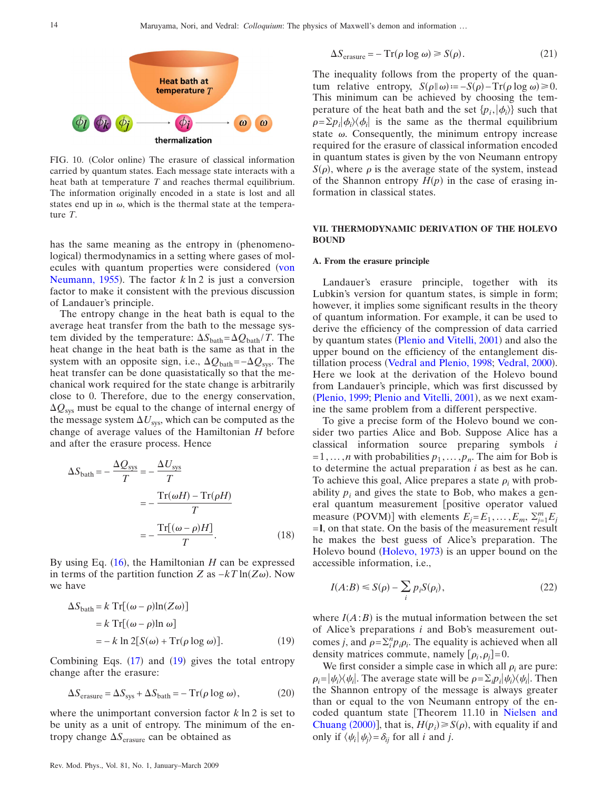<span id="page-13-0"></span>

FIG. 10. (Color online) The erasure of classical information carried by quantum states. Each message state interacts with a heat bath at temperature *T* and reaches thermal equilibrium. The information originally encoded in a state is lost and all states end up in  $\omega$ , which is the thermal state at the temperature *T*.

has the same meaning as the entropy in (phenomenological) thermodynamics in a setting where gases of molecules with quantum properties were considered ([von](#page-22-23) [Neumann, 1955](#page-22-23)). The factor  $k \ln 2$  is just a conversion factor to make it consistent with the previous discussion of Landauer's principle.

The entropy change in the heat bath is equal to the average heat transfer from the bath to the message system divided by the temperature:  $\Delta S_{\text{bath}} = \Delta Q_{\text{bath}}/T$ . The heat change in the heat bath is the same as that in the system with an opposite sign, i.e., *Q*bath=−*Q*sys. The heat transfer can be done quasistatically so that the mechanical work required for the state change is arbitrarily close to 0. Therefore, due to the energy conservation,  $\Delta Q_{\rm sys}$  must be equal to the change of internal energy of the message system  $\Delta U_{\text{sys}}$ , which can be computed as the change of average values of the Hamiltonian *H* before and after the erasure process. Hence

$$
\Delta S_{\text{bath}} = -\frac{\Delta Q_{\text{sys}}}{T} = -\frac{\Delta U_{\text{sys}}}{T}
$$

$$
= -\frac{\text{Tr}(\omega H) - \text{Tr}(\rho H)}{T}
$$

$$
= -\frac{\text{Tr}[(\omega - \rho)H]}{T}.
$$
(18)

By using Eq.  $(16)$  $(16)$  $(16)$ , the Hamiltonian *H* can be expressed in terms of the partition function *Z* as  $-kT \ln(Z\omega)$ . Now we have

<span id="page-13-1"></span>
$$
\Delta S_{\text{bath}} = k \operatorname{Tr}[(\omega - \rho)\ln(Z\omega)]
$$
  
=  $k \operatorname{Tr}[(\omega - \rho)\ln \omega]$   
=  $-k \ln 2[S(\omega) + \operatorname{Tr}(\rho \log \omega)].$  (19)

Combining Eqs.  $(17)$  $(17)$  $(17)$  and  $(19)$  $(19)$  $(19)$  gives the total entropy change after the erasure:

$$
\Delta S_{\text{erasure}} = \Delta S_{\text{sys}} + \Delta S_{\text{bath}} = -\operatorname{Tr}(\rho \log \omega),\tag{20}
$$

where the unimportant conversion factor *k* ln 2 is set to be unity as a unit of entropy. The minimum of the entropy change  $\Delta S_{\text{erasure}}$  can be obtained as

<span id="page-13-3"></span>
$$
\Delta S_{\text{erasure}} = -\operatorname{Tr}(\rho \log \omega) \ge S(\rho). \tag{21}
$$

The inequality follows from the property of the quantum relative entropy,  $S(\rho||\omega) := -S(\rho) - \text{Tr}(\rho \log \omega) \ge 0$ . This minimum can be achieved by choosing the temperature of the heat bath and the set  $\{p_i, |\phi_i\rangle\}$  such that  $\rho = \sum p_i |\phi_i\rangle\langle\phi_i|$  is the same as the thermal equilibrium state  $\omega$ . Consequently, the minimum entropy increase required for the erasure of classical information encoded in quantum states is given by the von Neumann entropy  $S(\rho)$ , where  $\rho$  is the average state of the system, instead of the Shannon entropy  $H(p)$  in the case of erasing information in classical states.

# **VII. THERMODYNAMIC DERIVATION OF THE HOLEVO BOUND**

### **A. From the erasure principle**

Landauer's erasure principle, together with its Lubkin's version for quantum states, is simple in form; however, it implies some significant results in the theory of quantum information. For example, it can be used to derive the efficiency of the compression of data carried by quantum states ([Plenio and Vitelli, 2001](#page-22-9)) and also the upper bound on the efficiency of the entanglement dis-tillation process ([Vedral and Plenio, 1998;](#page-22-36) [Vedral, 2000](#page-22-34)). Here we look at the derivation of the Holevo bound from Landauer's principle, which was first discussed by ([Plenio, 1999;](#page-22-37) [Plenio and Vitelli, 2001](#page-22-9)), as we next examine the same problem from a different perspective.

To give a precise form of the Holevo bound we consider two parties Alice and Bob. Suppose Alice has a classical information source preparing symbols *i*  $=1, \ldots, n$  with probabilities  $p_1, \ldots, p_n$ . The aim for Bob is to determine the actual preparation *i* as best as he can. To achieve this goal, Alice prepares a state  $\rho_i$  with probability  $p_i$  and gives the state to Bob, who makes a general quantum measurement [positive operator valued measure (POVM)] with elements  $E_j = E_1, \ldots, E_m, \sum_{j=1}^m E_j$ =**l**, on that state. On the basis of the measurement result he makes the best guess of Alice's preparation. The Holevo bound ([Holevo, 1973](#page-21-16)) is an upper bound on the accessible information, i.e.,

<span id="page-13-2"></span>
$$
I(A:B) \le S(\rho) - \sum_{i} p_i S(\rho_i), \qquad (22)
$$

where  $I(A:B)$  is the mutual information between the set of Alice's preparations *i* and Bob's measurement outcomes *j*, and  $\rho = \sum_{i}^{n} p_i \rho_i$ . The equality is achieved when all density matrices commute, namely  $[\rho_i, \rho_j] = 0$ .

We first consider a simple case in which all  $\rho_i$  are pure:  $\rho_i = |\psi_i\rangle\langle\psi_i|$ . The average state will be  $\rho = \sum_i p_i |\psi_i\rangle\langle\psi_i|$ . Then the Shannon entropy of the message is always greater than or equal to the von Neumann entropy of the encoded quantum state Theorem 11.10 in [Nielsen and](#page-22-33) [Chuang](#page-22-33) (2000)], that is,  $H(p_i) \ge S(\rho)$ , with equality if and only if  $\langle \psi_i | \psi_j \rangle = \delta_{ij}$  for all *i* and *j*.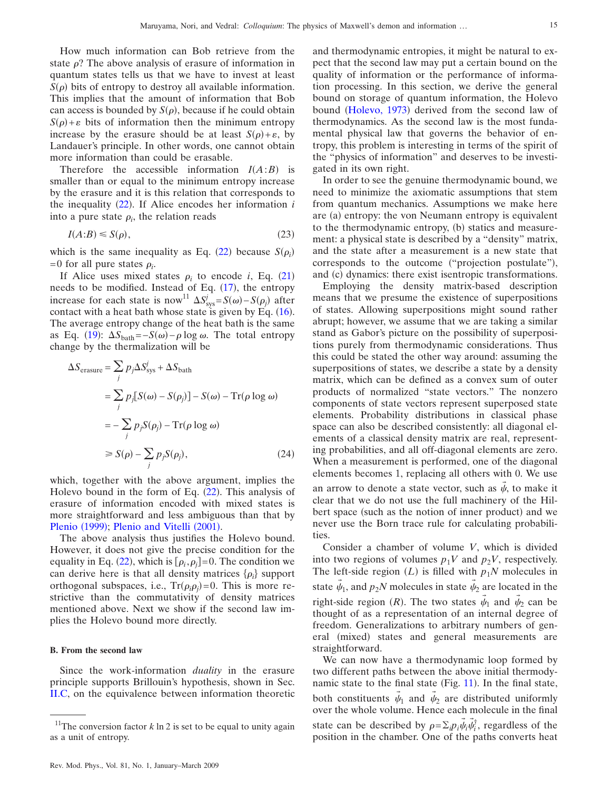How much information can Bob retrieve from the state  $\rho$ ? The above analysis of erasure of information in quantum states tells us that we have to invest at least  $S(\rho)$  bits of entropy to destroy all available information. This implies that the amount of information that Bob can access is bounded by  $S(\rho)$ , because if he could obtain  $S(\rho) + \varepsilon$  bits of information then the minimum entropy increase by the erasure should be at least  $S(\rho) + \varepsilon$ , by Landauer's principle. In other words, one cannot obtain more information than could be erasable.

Therefore the accessible information  $I(A:B)$  is smaller than or equal to the minimum entropy increase by the erasure and it is this relation that corresponds to the inequality ([22](#page-13-2)). If Alice encodes her information *i* into a pure state  $\rho_i$ , the relation reads

$$
I(A:B) \le S(\rho),\tag{23}
$$

which is the same inequality as Eq.  $(22)$  $(22)$  $(22)$  because  $S(\rho_i)$  $= 0$  for all pure states  $\rho_i$ .

If Alice uses mixed states  $\rho_i$  to encode *i*, Eq. ([21](#page-13-3)) needs to be modified. Instead of Eq. ([17](#page-12-1)), the entropy increase for each state is now<sup>11</sup>  $\Delta S_{\text{sys}}^j = S(\omega) - S(\rho_j)$  after contact with a heat bath whose state is given by Eq.  $(16)$  $(16)$  $(16)$ . The average entropy change of the heat bath is the same as Eq. ([19](#page-13-1)):  $\Delta S_{\text{bath}} = -S(\omega) - \rho \log \omega$ . The total entropy change by the thermalization will be

$$
\Delta S_{\text{erasure}} = \sum_{j} p_j \Delta S_{\text{sys}}^j + \Delta S_{\text{bath}}
$$
  
= 
$$
\sum_{j} p_j [S(\omega) - S(\rho_j)] - S(\omega) - \text{Tr}(\rho \log \omega)
$$
  
= 
$$
-\sum_{j} p_j S(\rho_j) - \text{Tr}(\rho \log \omega)
$$
  

$$
\geq S(\rho) - \sum_{j} p_j S(\rho_j),
$$
 (24)

which, together with the above argument, implies the Holevo bound in the form of Eq.  $(22)$  $(22)$  $(22)$ . This analysis of erasure of information encoded with mixed states is more straightforward and less ambiguous than that by [Plenio](#page-22-37) (1999); [Plenio and Vitelli](#page-22-9) (2001).

The above analysis thus justifies the Holevo bound. However, it does not give the precise condition for the equality in Eq. ([22](#page-13-2)), which is  $[\rho_i, \rho_j] = 0$ . The condition we can derive here is that all density matrices  $\{\rho_i\}$  support orthogonal subspaces, i.e.,  $Tr(\rho_i \rho_j) = 0$ . This is more restrictive than the commutativity of density matrices mentioned above. Next we show if the second law implies the Holevo bound more directly.

#### **B. From the second law**

Since the work-information *duality* in the erasure principle supports Brillouin's hypothesis, shown in Sec. II.C, on the equivalence between information theoretic and thermodynamic entropies, it might be natural to expect that the second law may put a certain bound on the quality of information or the performance of information processing. In this section, we derive the general bound on storage of quantum information, the Holevo bound ([Holevo, 1973](#page-21-16)) derived from the second law of thermodynamics. As the second law is the most fundamental physical law that governs the behavior of entropy, this problem is interesting in terms of the spirit of the "physics of information" and deserves to be investigated in its own right.

In order to see the genuine thermodynamic bound, we need to minimize the axiomatic assumptions that stem from quantum mechanics. Assumptions we make here are (a) entropy: the von Neumann entropy is equivalent to the thermodynamic entropy, (b) statics and measurement: a physical state is described by a "density" matrix, and the state after a measurement is a new state that corresponds to the outcome ("projection postulate"), and (c) dynamics: there exist isentropic transformations.

Employing the density matrix-based description means that we presume the existence of superpositions of states. Allowing superpositions might sound rather abrupt; however, we assume that we are taking a similar stand as Gabor's picture on the possibility of superpositions purely from thermodynamic considerations. Thus this could be stated the other way around: assuming the superpositions of states, we describe a state by a density matrix, which can be defined as a convex sum of outer products of normalized "state vectors." The nonzero components of state vectors represent superposed state elements. Probability distributions in classical phase space can also be described consistently: all diagonal elements of a classical density matrix are real, representing probabilities, and all off-diagonal elements are zero. When a measurement is performed, one of the diagonal elements becomes 1, replacing all others with 0. We use an arrow to denote a state vector, such as  $\psi$ , to make it clear that we do not use the full machinery of the Hilbert space (such as the notion of inner product) and we never use the Born trace rule for calculating probabilities.

Consider a chamber of volume *V*, which is divided into two regions of volumes  $p_1V$  and  $p_2V$ , respectively. The left-side region  $(L)$  is filled with  $p_1N$  molecules in state  $\vec{\psi}_1$ , and  $p_2N$  molecules in state  $\vec{\psi}_2$  are located in the right-side region (R). The two states  $\vec{\psi}_1$  and  $\vec{\psi}_2$  can be thought of as a representation of an internal degree of freedom. Generalizations to arbitrary numbers of general (mixed) states and general measurements are straightforward.

We can now have a thermodynamic loop formed by two different paths between the above initial thermody-namic state to the final state (Fig. [11](#page-15-0)). In the final state, both constituents  $\vec{\psi}_1$  and  $\vec{\psi}_2$  are distributed uniformly over the whole volume. Hence each molecule in the final state can be described by  $\rho = \sum_i p_i \vec{\psi}_i \vec{\psi}_i^{\dagger}$ , regardless of the position in the chamber. One of the paths converts heat

<sup>&</sup>lt;sup>11</sup>The conversion factor  $k \ln 2$  is set to be equal to unity again as a unit of entropy.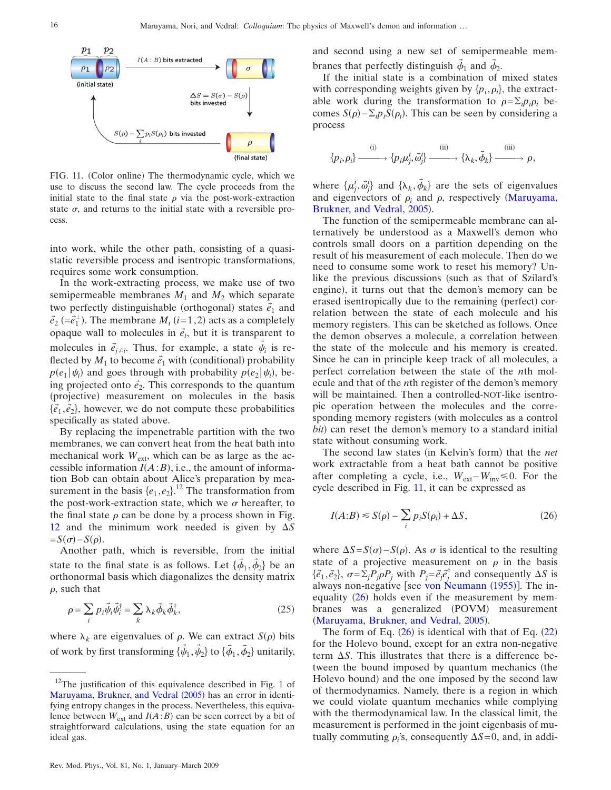<span id="page-15-0"></span>

FIG. 11. (Color online) The thermodynamic cycle, which we use to discuss the second law. The cycle proceeds from the initial state to the final state  $\rho$  via the post-work-extraction state  $\sigma$ , and returns to the initial state with a reversible process.

into work, while the other path, consisting of a quasistatic reversible process and isentropic transformations, requires some work consumption.

In the work-extracting process, we make use of two semipermeable membranes  $M_1$  and  $M_2$  which separate two perfectly distinguishable (orthogonal) states  $\vec{e}_1$  and  $\vec{e}_2$  (= $\vec{e}_1^{\perp}$ ). The membrane *M<sub>i</sub>* (*i*=1,2) acts as a completely opaque wall to molecules in  $\vec{e}_i$ , but it is transparent to molecules in  $\vec{e}_{j\neq i}$ . Thus, for example, a state  $\psi_i$  is re-→ flected by  $M_1$  to become  $\vec{e}_1$  with (conditional) probability  $p(e_1|\psi_i)$  and goes through with probability  $p(e_2|\psi_i)$ , being projected onto  $\vec{e}_2$ . This corresponds to the quantum (projective) measurement on molecules in the basis  $\{\vec{e}_1, \vec{e}_2\}$ , however, we do not compute these probabilities specifically as stated above.

By replacing the impenetrable partition with the two membranes, we can convert heat from the heat bath into mechanical work  $W_{ext}$ , which can be as large as the accessible information  $I(A:B)$ , i.e., the amount of information Bob can obtain about Alice's preparation by measurement in the basis  $\{e_1, e_2\}$ .<sup>12</sup> The transformation from the post-work-extraction state, which we  $\sigma$  hereafter, to the final state  $\rho$  can be done by a process shown in Fig. [12](#page-16-0) and the minimum work needed is given by  $\Delta S$  $=S(\sigma) - S(\rho)$ .

Another path, which is reversible, from the initial state to the final state is as follows. Let  $\{\phi_1, \phi_2\}$  be an orthonormal basis which diagonalizes the density matrix  $\rho$ , such that

$$
\rho = \sum_{i} p_i \vec{\psi}_i \vec{\psi}_i^{\dagger} = \sum_{k} \lambda_k \vec{\phi}_k \vec{\phi}_k^{\dagger}, \qquad (25)
$$

where  $\lambda_k$  are eigenvalues of  $\rho$ . We can extract  $S(\rho)$  bits of work by first transforming  $\{\vec{\psi}_1,\vec{\psi}_2\}$  to  $\{\vec{\phi}_1,\vec{\phi}_2\}$  unitarily, and second using a new set of semipermeable membranes that perfectly distinguish  $\phi_1$  and  $\phi_2$ .

If the initial state is a combination of mixed states with corresponding weights given by  $\{p_i, \rho_i\}$ , the extractable work during the transformation to  $\rho = \sum_i p_i \rho_i$  becomes  $S(\rho) - \sum_i p_i S(\rho_i)$ . This can be seen by considering a process

$$
\{p_i, \rho_i\} \xrightarrow{\text{(i)}} \{p_i \mu^i_j, \vec{\omega}_j^i \xrightarrow{\text{(ii)}} \{\lambda_k, \vec{\phi}_k\} \xrightarrow{\text{(iii)}} \rho,
$$

where  $\{\mu^i_j, \vec{\omega}^i_j\}$  and  $\{\lambda_k, \vec{\phi}_k\}$  are the sets of eigenvalues and eigenvectors of  $\rho_i$  and  $\rho$ , respectively ([Maruyama,](#page-22-38) [Brukner, and Vedral, 2005](#page-22-38)).

The function of the semipermeable membrane can alternatively be understood as a Maxwell's demon who controls small doors on a partition depending on the result of his measurement of each molecule. Then do we need to consume some work to reset his memory? Unlike the previous discussions (such as that of Szilard's engine), it turns out that the demon's memory can be erased isentropically due to the remaining (perfect) correlation between the state of each molecule and his memory registers. This can be sketched as follows. Once the demon observes a molecule, a correlation between the state of the molecule and his memory is created. Since he can in principle keep track of all molecules, a perfect correlation between the state of the *n*th molecule and that of the *n*th register of the demon's memory will be maintained. Then a controlled-NOT-like isentropic operation between the molecules and the corresponding memory registers (with molecules as a control bit) can reset the demon's memory to a standard initial state without consuming work.

The second law states (in Kelvin's form) that the *net* work extractable from a heat bath cannot be positive after completing a cycle, i.e.,  $W_{ext}$ − $W_{inv}$  ≤ 0. For the cycle described in Fig. [11,](#page-15-0) it can be expressed as

<span id="page-15-1"></span>
$$
I(A:B) \le S(\rho) - \sum_{i} p_i S(\rho_i) + \Delta S,
$$
\n(26)

where  $\Delta S = S(\sigma) - S(\rho)$ . As  $\sigma$  is identical to the resulting state of a projective measurement on  $\rho$  in the basis  $\{\vec{e}_1, \vec{e}_2\}$ ,  $\sigma = \sum_j P_j \rho P_j$  with  $P_j = \vec{e}_j \vec{e}_j^{\dagger}$  and consequently  $\Delta S$  is always non-negative [see [von Neumann](#page-22-23) (1955)]. The inequality  $(26)$  $(26)$  $(26)$  holds even if the measurement by membranes was a generalized (POVM) measurement ([Maruyama, Brukner, and Vedral, 2005](#page-22-38)).

The form of Eq.  $(26)$  $(26)$  $(26)$  is identical with that of Eq.  $(22)$  $(22)$  $(22)$ for the Holevo bound, except for an extra non-negative term  $\Delta S$ . This illustrates that there is a difference between the bound imposed by quantum mechanics (the Holevo bound) and the one imposed by the second law of thermodynamics. Namely, there is a region in which we could violate quantum mechanics while complying with the thermodynamical law. In the classical limit, the measurement is performed in the joint eigenbasis of mutually commuting  $\rho_i$ 's, consequently  $\Delta S = 0$ , and, in addi-

 $12$ The justification of this equivalence described in Fig. 1 of [Maruyama, Brukner, and Vedral](#page-22-38) (2005) has an error in identifying entropy changes in the process. Nevertheless, this equivalence between  $W_{ext}$  and  $I(A:B)$  can be seen correct by a bit of straightforward calculations, using the state equation for an ideal gas.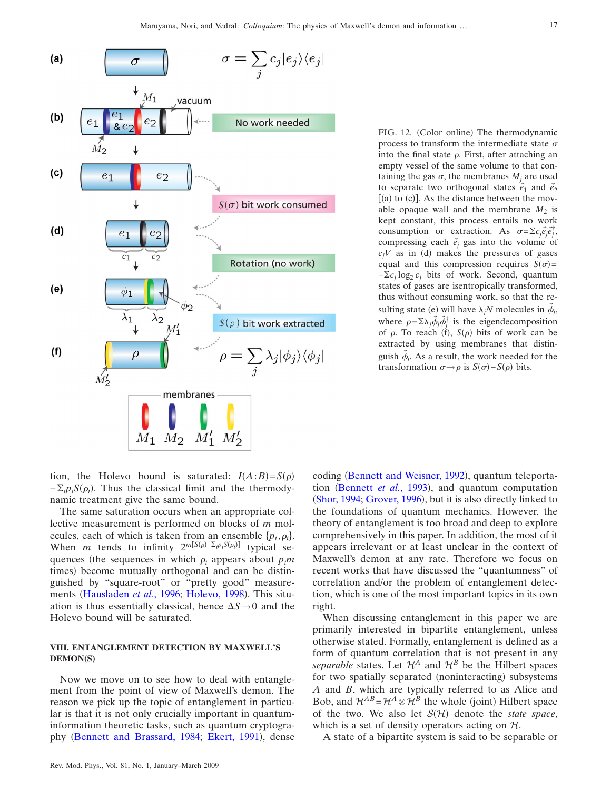<span id="page-16-0"></span>

FIG. 12. (Color online) The thermodynamic process to transform the intermediate state  $\sigma$ into the final state  $\rho$ . First, after attaching an empty vessel of the same volume to that containing the gas  $\sigma$ , the membranes  $M_i$  are used to separate two orthogonal states  $\vec{e}_1$  and  $\vec{e}_2$  $[(a)$  to  $(c)]$ . As the distance between the movable opaque wall and the membrane  $M_2$  is kept constant, this process entails no work consumption or extraction. As  $\sigma = \sum c_j \vec{e}_j \vec{e}_j^{\dagger}$ , compressing each  $\vec{e}_i$  gas into the volume of  $c_jV$  as in (d) makes the pressures of gases equal and this compression requires  $S(\sigma)$ =  $-\Sigma c_i \log_2 c_i$  bits of work. Second, quantum states of gases are isentropically transformed, thus without consuming work, so that the resulting state (e) will have  $\lambda_j N$  molecules in  $\vec{\phi}_j$ , where  $\rho = \sum \lambda_j \vec{\phi}_j \vec{\phi}_j^{\dagger}$  is the eigendecomposition of  $\rho$ . To reach (f),  $S(\rho)$  bits of work can be extracted by using membranes that distinguish  $\phi_i$ . As a result, the work needed for the transformation  $\sigma \rightarrow \rho$  is  $S(\sigma) - S(\rho)$  bits.

tion, the Holevo bound is saturated:  $I(A:B) = S(\rho)$  $-\sum_i p_i S(\rho_i)$ . Thus the classical limit and the thermodynamic treatment give the same bound.

The same saturation occurs when an appropriate collective measurement is performed on blocks of *m* molecules, each of which is taken from an ensemble  $\{p_i, \rho_i\}$ . When *m* tends to infinity  $2^{m[S(\rho)-\sum_{i}p_{i}S(\rho_{i})]}$  typical sequences (the sequences in which  $\rho_i$  appears about  $p_i m$ times) become mutually orthogonal and can be distinguished by "square-root" or "pretty good" measure-ments ([Hausladen](#page-21-17) et al., 1996; [Holevo, 1998](#page-21-18)). This situation is thus essentially classical, hence  $\Delta S \rightarrow 0$  and the Holevo bound will be saturated.

# **VIII. ENTANGLEMENT DETECTION BY MAXWELL'S DEMON(S)**

Now we move on to see how to deal with entanglement from the point of view of Maxwell's demon. The reason we pick up the topic of entanglement in particular is that it is not only crucially important in quantuminformation theoretic tasks, such as quantum cryptogra-phy ([Bennett and Brassard, 1984;](#page-21-19) [Ekert, 1991](#page-21-20)), dense

coding ([Bennett and Weisner, 1992](#page-21-21)), quantum teleporta-tion ([Bennett](#page-21-22) et al., 1993), and quantum computation ([Shor, 1994;](#page-22-39) [Grover, 1996](#page-21-23)), but it is also directly linked to the foundations of quantum mechanics. However, the theory of entanglement is too broad and deep to explore comprehensively in this paper. In addition, the most of it appears irrelevant or at least unclear in the context of Maxwell's demon at any rate. Therefore we focus on recent works that have discussed the "quantumness" of correlation and/or the problem of entanglement detection, which is one of the most important topics in its own right.

When discussing entanglement in this paper we are primarily interested in bipartite entanglement, unless otherwise stated. Formally, entanglement is defined as a form of quantum correlation that is not present in any *separable* states. Let  $\mathcal{H}^A$  and  $\mathcal{H}^B$  be the Hilbert spaces for two spatially separated (noninteracting) subsystems *A* and *B*, which are typically referred to as Alice and Bob, and  $\mathcal{H}^{AB} = \mathcal{H}^A \otimes \mathcal{H}^B$  the whole (joint) Hilbert space of the two. We also let  $S(\mathcal{H})$  denote the *state space*, which is a set of density operators acting on  $H$ .

A state of a bipartite system is said to be separable or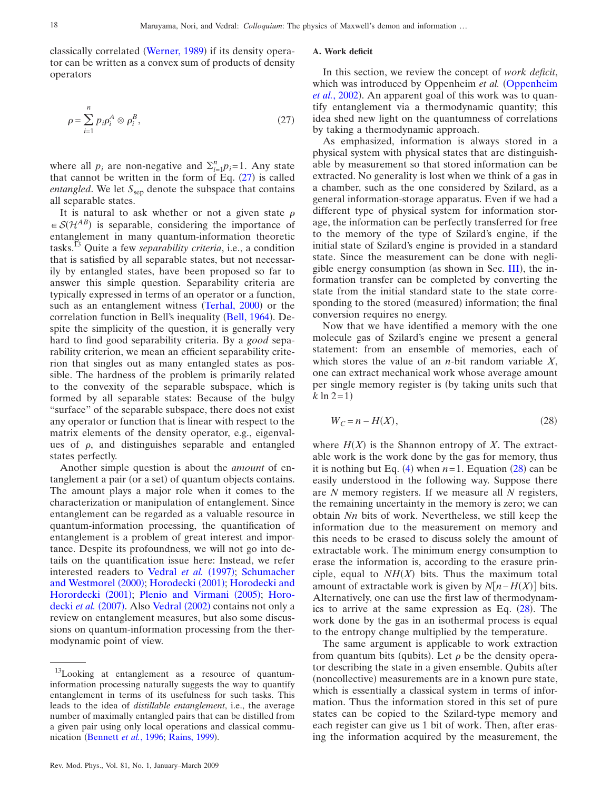classically correlated ([Werner, 1989](#page-22-40)) if its density operator can be written as a convex sum of products of density operators

<span id="page-17-0"></span>
$$
\rho = \sum_{i=1}^{n} p_i \rho_i^A \otimes \rho_i^B, \qquad (27)
$$

where all  $p_i$  are non-negative and  $\sum_{i=1}^{n} p_i = 1$ . Any state that cannot be written in the form of Eq.  $(27)$  $(27)$  $(27)$  is called *entangled*. We let *S*<sub>sep</sub> denote the subspace that contains all separable states.

It is natural to ask whether or not a given state  $\rho$  $\in \mathcal{S}(\mathcal{H}^{AB})$  is separable, considering the importance of entanglement in many quantum-information theoretic tasks.13 Quite a few *separability criteria*, i.e., a condition that is satisfied by all separable states, but not necessarily by entangled states, have been proposed so far to answer this simple question. Separability criteria are typically expressed in terms of an operator or a function, such as an entanglement witness ([Terhal, 2000](#page-22-41)) or the correlation function in Bell's inequality ([Bell, 1964](#page-21-24)). Despite the simplicity of the question, it is generally very hard to find good separability criteria. By a *good* separability criterion, we mean an efficient separability criterion that singles out as many entangled states as possible. The hardness of the problem is primarily related to the convexity of the separable subspace, which is formed by all separable states: Because of the bulgy "surface" of the separable subspace, there does not exist any operator or function that is linear with respect to the matrix elements of the density operator, e.g., eigenvalues of  $\rho$ , and distinguishes separable and entangled states perfectly.

Another simple question is about the *amount* of entanglement a pair (or a set) of quantum objects contains. The amount plays a major role when it comes to the characterization or manipulation of entanglement. Since entanglement can be regarded as a valuable resource in quantum-information processing, the quantification of entanglement is a problem of great interest and importance. Despite its profoundness, we will not go into details on the quantification issue here: Instead, we refer interested readers to [Vedral](#page-22-42) et al. (1997); [Schumacher](#page-22-43) [and Westmorel](#page-22-43) (2000); [Horodecki](#page-21-25) (2001); [Horodecki and](#page-21-26) [Horordecki](#page-21-26) (2001); [Plenio and Virmani](#page-22-44) (2005); [Horo](#page-21-27)[decki](#page-21-27) et al. (2007). Also [Vedral](#page-22-35) (2002) contains not only a review on entanglement measures, but also some discussions on quantum-information processing from the thermodynamic point of view.

### **A. Work deficit**

In this section, we review the concept of *work deficit*, which was introduced by [Oppenheim](#page-22-45) *et al.* (Oppenheim et al.[, 2002](#page-22-45)). An apparent goal of this work was to quantify entanglement via a thermodynamic quantity; this idea shed new light on the quantumness of correlations by taking a thermodynamic approach.

As emphasized, information is always stored in a physical system with physical states that are distinguishable by measurement so that stored information can be extracted. No generality is lost when we think of a gas in a chamber, such as the one considered by Szilard, as a general information-storage apparatus. Even if we had a different type of physical system for information storage, the information can be perfectly transferred for free to the memory of the type of Szilard's engine, if the initial state of Szilard's engine is provided in a standard state. Since the measurement can be done with negligible energy consumption (as shown in Sec. III), the information transfer can be completed by converting the state from the initial standard state to the state corresponding to the stored (measured) information; the final conversion requires no energy.

Now that we have identified a memory with the one molecule gas of Szilard's engine we present a general statement: from an ensemble of memories, each of which stores the value of an *n*-bit random variable *X*, one can extract mechanical work whose average amount per single memory register is (by taking units such that  $k \ln 2 = 1$ )

<span id="page-17-1"></span>
$$
W_C = n - H(X),\tag{28}
$$

where  $H(X)$  is the Shannon entropy of  $X$ . The extractable work is the work done by the gas for memory, thus it is nothing but Eq.  $(4)$  $(4)$  $(4)$  when  $n=1$ . Equation  $(28)$  $(28)$  $(28)$  can be easily understood in the following way. Suppose there are *N* memory registers. If we measure all *N* registers, the remaining uncertainty in the memory is zero; we can obtain *Nn* bits of work. Nevertheless, we still keep the information due to the measurement on memory and this needs to be erased to discuss solely the amount of extractable work. The minimum energy consumption to erase the information is, according to the erasure principle, equal to  $NH(X)$  bits. Thus the maximum total amount of extractable work is given by  $N[n-H(X)]$  bits. Alternatively, one can use the first law of thermodynamics to arrive at the same expression as Eq.  $(28)$  $(28)$  $(28)$ . The work done by the gas in an isothermal process is equal to the entropy change multiplied by the temperature.

The same argument is applicable to work extraction from quantum bits (qubits). Let  $\rho$  be the density operator describing the state in a given ensemble. Qubits after (noncollective) measurements are in a known pure state, which is essentially a classical system in terms of information. Thus the information stored in this set of pure states can be copied to the Szilard-type memory and each register can give us 1 bit of work. Then, after erasing the information acquired by the measurement, the

<sup>&</sup>lt;sup>13</sup>Looking at entanglement as a resource of quantuminformation processing naturally suggests the way to quantify entanglement in terms of its usefulness for such tasks. This leads to the idea of *distillable entanglement*, i.e., the average number of maximally entangled pairs that can be distilled from a given pair using only local operations and classical commu-nication ([Bennett](#page-21-28) *et al.*, 1996; [Rains, 1999](#page-22-46)).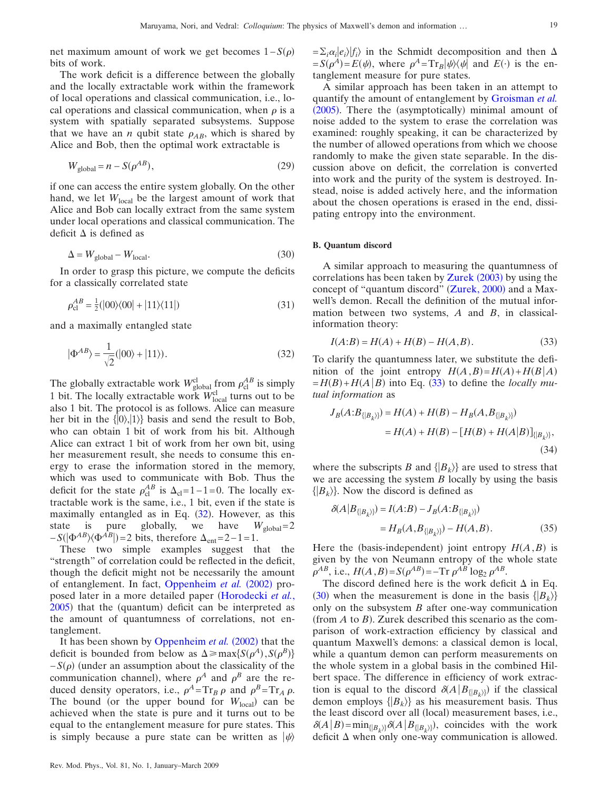net maximum amount of work we get becomes  $1-S(\rho)$ bits of work.

The work deficit is a difference between the globally and the locally extractable work within the framework of local operations and classical communication, i.e., local operations and classical communication, when  $\rho$  is a system with spatially separated subsystems. Suppose that we have an *n* qubit state  $\rho_{AB}$ , which is shared by Alice and Bob, then the optimal work extractable is

$$
W_{\text{global}} = n - S(\rho^{AB}),\tag{29}
$$

if one can access the entire system globally. On the other hand, we let  $W_{local}$  be the largest amount of work that Alice and Bob can locally extract from the same system under local operations and classical communication. The deficit  $\Delta$  is defined as

$$
\Delta = W_{\text{global}} - W_{\text{local}}.\tag{30}
$$

<span id="page-18-2"></span>In order to grasp this picture, we compute the deficits for a classically correlated state

$$
\rho_{\rm cl}^{AB} = \frac{1}{2} (|00\rangle\langle 00| + |11\rangle\langle 11|)
$$
\n(31)

<span id="page-18-0"></span>and a maximally entangled state

$$
|\Phi^{AB}\rangle = \frac{1}{\sqrt{2}}(|00\rangle + |11\rangle). \tag{32}
$$

The globally extractable work  $W_{\text{global}}^{\text{cl}}$  from  $\rho_{\text{cl}}^{AB}$  is simply 1 bit. The locally extractable work  $W_{\text{local}}^{\text{cl}}$  turns out to be also 1 bit. The protocol is as follows. Alice can measure her bit in the  $\{|0\rangle, |1\rangle\}$  basis and send the result to Bob, who can obtain 1 bit of work from his bit. Although Alice can extract 1 bit of work from her own bit, using her measurement result, she needs to consume this energy to erase the information stored in the memory, which was used to communicate with Bob. Thus the deficit for the state  $\rho_{\text{cl}}^{AB}$  is  $\Delta_{\text{cl}}=1-1=0$ . The locally extractable work is the same, i.e., 1 bit, even if the state is maximally entangled as in Eq. ([32](#page-18-0)). However, as this state is pure globally, we have  $W_{\text{global}} = 2$  $-S(|\Phi^{AB}\rangle\langle\Phi^{AB}|)=2$  bits, therefore  $\Delta_{ent}=2-1=1$ .

These two simple examples suggest that the "strength" of correlation could be reflected in the deficit, though the deficit might not be necessarily the amount of entanglement. In fact, [Oppenheim](#page-22-45) et al. (2002) pro-posed later in a more detailed paper ([Horodecki](#page-21-29) *et al.*, [2005](#page-21-29)) that the (quantum) deficit can be interpreted as the amount of quantumness of correlations, not entanglement.

It has been shown by [Oppenheim](#page-22-45) et al. (2002) that the deficit is bounded from below as  $\Delta \ge \max\{S(\rho^A), S(\rho^B)\}\$  $-S(\rho)$  (under an assumption about the classicality of the communication channel), where  $\rho^A$  and  $\rho^B$  are the reduced density operators, i.e.,  $\rho^A = \text{Tr}_B \rho$  and  $\rho^B = \text{Tr}_A \rho$ . The bound (or the upper bound for  $W_{local}$ ) can be achieved when the state is pure and it turns out to be equal to the entanglement measure for pure states. This is simply because a pure state can be written as  $|\psi\rangle$ 

 $=\sum_i \alpha_i |e_i\rangle |f_i\rangle$  in the Schmidt decomposition and then  $\Delta$  $= S(\rho^A) = E(\psi)$ , where  $\rho^A = Tr_B |\psi\rangle \langle \psi|$  and  $E(\cdot)$  is the entanglement measure for pure states.

A similar approach has been taken in an attempt to quantify the amount of entanglement by [Groisman](#page-21-30) *et al.* ([2005](#page-21-30)). There the (asymptotically) minimal amount of noise added to the system to erase the correlation was examined: roughly speaking, it can be characterized by the number of allowed operations from which we choose randomly to make the given state separable. In the discussion above on deficit, the correlation is converted into work and the purity of the system is destroyed. Instead, noise is added actively here, and the information about the chosen operations is erased in the end, dissipating entropy into the environment.

# **B. Quantum discord**

A similar approach to measuring the quantumness of correlations has been taken by [Zurek](#page-22-47)  $(2003)$  by using the concept of "quantum discord" ([Zurek, 2000](#page-22-48)) and a Maxwell's demon. Recall the definition of the mutual information between two systems, *A* and *B*, in classicalinformation theory:

$$
I(A:B) = H(A) + H(B) - H(A,B).
$$
 (33)

<span id="page-18-1"></span>To clarify the quantumness later, we substitute the definition of the joint entropy  $H(A,B)=H(A)+H(B|A)$  $=$  *H*(*B*) + *H*(*A*|*B*) into Eq. ([33](#page-18-1)) to define the *locally mutual information* as

$$
J_B(A:B_{\{|B_k\rangle\}}) = H(A) + H(B) - H_B(A, B_{\{|B_k\rangle\}})
$$
  
= H(A) + H(B) - [H(B) + H(A|B)]\_{\{|B\_k\rangle\}}, (34)

where the subscripts *B* and  $\{B_k\}$  are used to stress that we are accessing the system *B* locally by using the basis  $\{|B_k\rangle\}$ . Now the discord is defined as

$$
\delta(A|B_{\{|B_{k}\rangle\}}) = I(A:B) - J_{B}(A:B_{\{|B_{k}\rangle\}})
$$
  
=  $H_{B}(A, B_{\{|B_{k}\rangle\}}) - H(A,B).$  (35)

Here the (basis-independent) joint entropy  $H(A, B)$  is given by the von Neumann entropy of the whole state  $\rho^{AB}$ , i.e.,  $H(A, B) = S(\rho^{AB}) =$ -Tr  $\rho^{AB} \log_2 \rho^{AB}$ .

The discord defined here is the work deficit  $\Delta$  in Eq. ([30](#page-18-2)) when the measurement is done in the basis  $\{|B_k\rangle\}$ only on the subsystem *B* after one-way communication (from  $A$  to  $B$ ). Zurek described this scenario as the comparison of work-extraction efficiency by classical and quantum Maxwell's demons: a classical demon is local, while a quantum demon can perform measurements on the whole system in a global basis in the combined Hilbert space. The difference in efficiency of work extraction is equal to the discord  $\delta(A|B_{\{|B_k\rangle\}})$  if the classical demon employs  $\{B_k\}$  as his measurement basis. Thus the least discord over all (local) measurement bases, i.e.,  $\delta(A|B) = \min_{\{|B_k\rangle\}} \delta(A|B_{\{|B_k\rangle\}})$ , coincides with the work deficit  $\Delta$  when only one-way communication is allowed.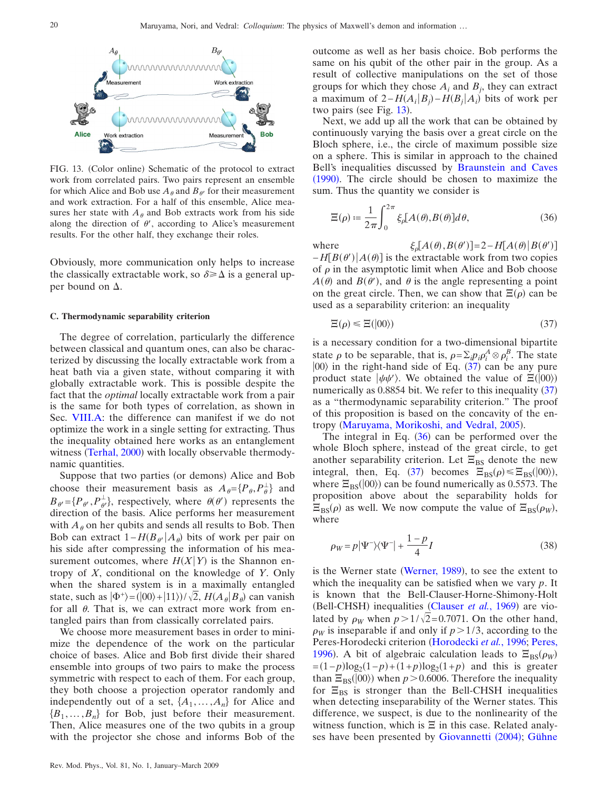<span id="page-19-0"></span>

FIG. 13. (Color online) Schematic of the protocol to extract work from correlated pairs. Two pairs represent an ensemble for which Alice and Bob use  $A_{\theta}$  and  $B_{\theta}$  for their measurement and work extraction. For a half of this ensemble, Alice measures her state with  $A_{\theta}$  and Bob extracts work from his side along the direction of  $\theta'$ , according to Alice's measurement results. For the other half, they exchange their roles.

Obviously, more communication only helps to increase the classically extractable work, so  $\delta \geq \Delta$  is a general upper bound on  $\Delta$ .

#### **C. Thermodynamic separability criterion**

The degree of correlation, particularly the difference between classical and quantum ones, can also be characterized by discussing the locally extractable work from a heat bath via a given state, without comparing it with globally extractable work. This is possible despite the fact that the *optimal* locally extractable work from a pair is the same for both types of correlation, as shown in Sec. VIII.A: the difference can manifest if we do not optimize the work in a single setting for extracting. Thus the inequality obtained here works as an entanglement witness ([Terhal, 2000](#page-22-41)) with locally observable thermodynamic quantities.

Suppose that two parties (or demons) Alice and Bob choose their measurement basis as  $A_{\theta} = \{P_{\theta}, P_{\theta}^{\perp}\}\$  and  $B_{\theta} = \{P_{\theta}, P_{\theta}^{\perp}\}\$ , respectively, where  $\theta(\theta')$  represents the direction of the basis. Alice performs her measurement with  $A_{\theta}$  on her qubits and sends all results to Bob. Then Bob can extract  $1 - H(B_{\theta'} | A_{\theta})$  bits of work per pair on his side after compressing the information of his measurement outcomes, where  $H(X|Y)$  is the Shannon entropy of *X*, conditional on the knowledge of *Y*. Only when the shared system is in a maximally entangled state, such as  $|\Phi^+\rangle = (|00\rangle + |11\rangle)/\sqrt{2}$ ,  $H(A_\theta|B_\theta)$  can vanish for all  $\theta$ . That is, we can extract more work from entangled pairs than from classically correlated pairs.

We choose more measurement bases in order to minimize the dependence of the work on the particular choice of bases. Alice and Bob first divide their shared ensemble into groups of two pairs to make the process symmetric with respect to each of them. For each group, they both choose a projection operator randomly and independently out of a set,  $\{A_1, \ldots, A_n\}$  for Alice and  ${B_1, \ldots, B_n}$  for Bob, just before their measurement. Then, Alice measures one of the two qubits in a group with the projector she chose and informs Bob of the

Next, we add up all the work that can be obtained by continuously varying the basis over a great circle on the Bloch sphere, i.e., the circle of maximum possible size on a sphere. This is similar in approach to the chained Bell's inequalities discussed by [Braunstein and Caves](#page-21-31) ([1990](#page-21-31)). The circle should be chosen to maximize the sum. Thus the quantity we consider is

<span id="page-19-1"></span>
$$
\Xi(\rho) \coloneqq \frac{1}{2\pi} \int_0^{2\pi} \xi_\rho[A(\theta), B(\theta)] d\theta,\tag{36}
$$

where  $\xi_{\rho}[A(\theta), B(\theta')] = 2 - H[A(\theta) | B(\theta')]$  $-H[B(\theta') | A(\theta)]$  is the extractable work from two copies of  $\rho$  in the asymptotic limit when Alice and Bob choose  $A(\theta)$  and  $B(\theta')$ , and  $\theta$  is the angle representing a point on the great circle. Then, we can show that  $\Xi(\rho)$  can be used as a separability criterion: an inequality

$$
\Xi(\rho) \le \Xi(|00\rangle) \tag{37}
$$

is a necessary condition for a two-dimensional bipartite state  $\rho$  to be separable, that is,  $\rho = \sum_i p_i \rho_i^A \otimes \rho_i^B$ . The state  $|00\rangle$  in the right-hand side of Eq. ([37](#page-19-1)) can be any pure product state  $|\psi \psi' \rangle$ . We obtained the value of  $\Xi(|00\rangle)$ numerically as  $0.8854$  bit. We refer to this inequality  $(37)$  $(37)$  $(37)$ as a "thermodynamic separability criterion." The proof of this proposition is based on the concavity of the en-tropy ([Maruyama, Morikoshi, and Vedral, 2005](#page-22-49)).

The integral in Eq.  $(36)$  $(36)$  $(36)$  can be performed over the whole Bloch sphere, instead of the great circle, to get another separability criterion. Let  $\Xi_{BS}$  denote the new integral, then, Eq. ([37](#page-19-1)) becomes  $\Xi_{BS}(\rho) \leq \Xi_{BS}(|00\rangle)$ , where  $\Xi_{BS}(|00\rangle)$  can be found numerically as 0.5573. The proposition above about the separability holds for  $E_{BS}(\rho)$  as well. We now compute the value of  $E_{BS}(\rho_W)$ , where

$$
\rho_W = p |\Psi^-\rangle\langle\Psi^-| + \frac{1-p}{4}I \tag{38}
$$

is the Werner state ([Werner, 1989](#page-22-40)), to see the extent to which the inequality can be satisfied when we vary *p*. It is known that the Bell-Clauser-Horne-Shimony-Holt (Bell-CHSH) inequalities ([Clauser](#page-21-32) *et al.*, 1969) are violated by  $\rho_W$  when  $p > 1/\sqrt{2} = 0.7071$ . On the other hand,  $\rho_W$  is inseparable if and only if  $p>1/3$ , according to the Peres-[Horodecki](#page-21-26) criterion (Horodecki et al., 1996; [Peres,](#page-22-50) [1996](#page-22-50)). A bit of algebraic calculation leads to  $\Xi_{BS}(\rho_W)$  $=(1-p)log_2(1-p) + (1+p)log_2(1+p)$  and this is greater than  $\Xi_{BS}(|00\rangle)$  when  $p > 0.6006$ . Therefore the inequality for  $\Xi_{BS}$  is stronger than the Bell-CHSH inequalities when detecting inseparability of the Werner states. This difference, we suspect, is due to the nonlinearity of the witness function, which is  $\Xi$  in this case. Related analy-ses have been presented by [Giovannetti](#page-21-33) (2004); [Gühne](#page-21-34)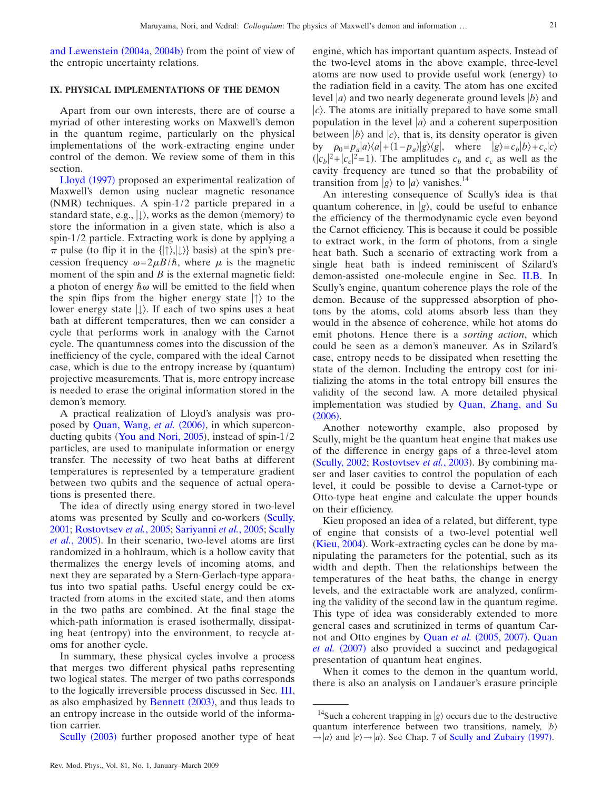[and Lewenstein](#page-21-34) (2004a, [2004b](#page-21-35)) from the point of view of the entropic uncertainty relations.

# **IX. PHYSICAL IMPLEMENTATIONS OF THE DEMON**

Apart from our own interests, there are of course a myriad of other interesting works on Maxwell's demon in the quantum regime, particularly on the physical implementations of the work-extracting engine under control of the demon. We review some of them in this section.

[Lloyd](#page-22-51) (1997) proposed an experimental realization of Maxwell's demon using nuclear magnetic resonance (NMR) techniques. A spin-1/2 particle prepared in a standard state, e.g.,  $|\!\!\downarrow\rangle$ , works as the demon (memory) to store the information in a given state, which is also a spin-1/2 particle. Extracting work is done by applying a  $\pi$  pulse (to flip it in the  $\{|\uparrow\rangle, |\downarrow\rangle\}$  basis) at the spin's precession frequency  $\omega = 2\mu B/\hbar$ , where  $\mu$  is the magnetic moment of the spin and *B* is the external magnetic field: a photon of energy  $\hbar \omega$  will be emitted to the field when the spin flips from the higher energy state  $|\uparrow\rangle$  to the lower energy state  $| \downarrow \rangle$ . If each of two spins uses a heat bath at different temperatures, then we can consider a cycle that performs work in analogy with the Carnot cycle. The quantumness comes into the discussion of the inefficiency of the cycle, compared with the ideal Carnot case, which is due to the entropy increase by (quantum) projective measurements. That is, more entropy increase is needed to erase the original information stored in the demon's memory.

A practical realization of Lloyd's analysis was pro-posed by [Quan, Wang,](#page-22-52) et al. (2006), in which supercon-ducting qubits ([You and Nori, 2005](#page-22-53)), instead of spin-1/2 particles, are used to manipulate information or energy transfer. The necessity of two heat baths at different temperatures is represented by a temperature gradient between two qubits and the sequence of actual operations is presented there.

The idea of directly using energy stored in two-level atoms was presented by Scully and co-workers ([Scully,](#page-22-54) [2001;](#page-22-54) [Rostovtsev](#page-22-55) *et al.*, 2005; [Sariyanni](#page-22-56) *et al.*, 2005; [Scully](#page-22-57) et al.[, 2005](#page-22-57)). In their scenario, two-level atoms are first randomized in a hohlraum, which is a hollow cavity that thermalizes the energy levels of incoming atoms, and next they are separated by a Stern-Gerlach-type apparatus into two spatial paths. Useful energy could be extracted from atoms in the excited state, and then atoms in the two paths are combined. At the final stage the which-path information is erased isothermally, dissipating heat (entropy) into the environment, to recycle atoms for another cycle.

In summary, these physical cycles involve a process that merges two different physical paths representing two logical states. The merger of two paths corresponds to the logically irreversible process discussed in Sec. III, as also emphasized by [Bennett](#page-21-36) (2003), and thus leads to an entropy increase in the outside world of the information carrier.

[Scully](#page-22-58) (2003) further proposed another type of heat

engine, which has important quantum aspects. Instead of the two-level atoms in the above example, three-level atoms are now used to provide useful work (energy) to the radiation field in a cavity. The atom has one excited level  $|a\rangle$  and two nearly degenerate ground levels  $|b\rangle$  and  $|c\rangle$ . The atoms are initially prepared to have some small population in the level  $|a\rangle$  and a coherent superposition between  $|b\rangle$  and  $|c\rangle$ , that is, its density operator is given by  $\rho_0 = p_a |a\rangle\langle a| + (1 - p_a)|g\rangle\langle g|$ , where  $|g\rangle = c_b |b\rangle + c_c |c\rangle$  $(|c_b|^2 + |c_c|^2 = 1)$ . The amplitudes  $c_b$  and  $c_c$  as well as the cavity frequency are tuned so that the probability of transition from  $|g\rangle$  to  $|a\rangle$  vanishes.<sup>14</sup>

An interesting consequence of Scully's idea is that quantum coherence, in  $|g\rangle$ , could be useful to enhance the efficiency of the thermodynamic cycle even beyond the Carnot efficiency. This is because it could be possible to extract work, in the form of photons, from a single heat bath. Such a scenario of extracting work from a single heat bath is indeed reminiscent of Szilard's demon-assisted one-molecule engine in Sec. II.B. In Scully's engine, quantum coherence plays the role of the demon. Because of the suppressed absorption of photons by the atoms, cold atoms absorb less than they would in the absence of coherence, while hot atoms do emit photons. Hence there is a *sorting action*, which could be seen as a demon's maneuver. As in Szilard's case, entropy needs to be dissipated when resetting the state of the demon. Including the entropy cost for initializing the atoms in the total entropy bill ensures the validity of the second law. A more detailed physical implementation was studied by [Quan, Zhang, and Su](#page-22-59)  $(2006).$  $(2006).$  $(2006).$ 

Another noteworthy example, also proposed by Scully, might be the quantum heat engine that makes use of the difference in energy gaps of a three-level atom ([Scully, 2002;](#page-22-60) [Rostovtsev](#page-22-61) et al., 2003). By combining maser and laser cavities to control the population of each level, it could be possible to devise a Carnot-type or Otto-type heat engine and calculate the upper bounds on their efficiency.

Kieu proposed an idea of a related, but different, type of engine that consists of a two-level potential well ([Kieu, 2004](#page-22-62)). Work-extracting cycles can be done by manipulating the parameters for the potential, such as its width and depth. Then the relationships between the temperatures of the heat baths, the change in energy levels, and the extractable work are analyzed, confirming the validity of the second law in the quantum regime. This type of idea was considerably extended to more general cases and scrutinized in terms of quantum Car-not and Otto engines by [Quan](#page-22-64) et al. (2005, [2007](#page-22-64)). Quan [et al.](#page-22-64) (2007) also provided a succinct and pedagogical presentation of quantum heat engines.

When it comes to the demon in the quantum world, there is also an analysis on Landauer's erasure principle

<sup>&</sup>lt;sup>14</sup>Such a coherent trapping in  $|g\rangle$  occurs due to the destructive quantum interference between two transitions, namely, *b*  $\rightarrow$  |a) and  $\vert c \rangle \rightarrow$  |a). See Chap. 7 of [Scully and Zubairy](#page-22-65) (1997).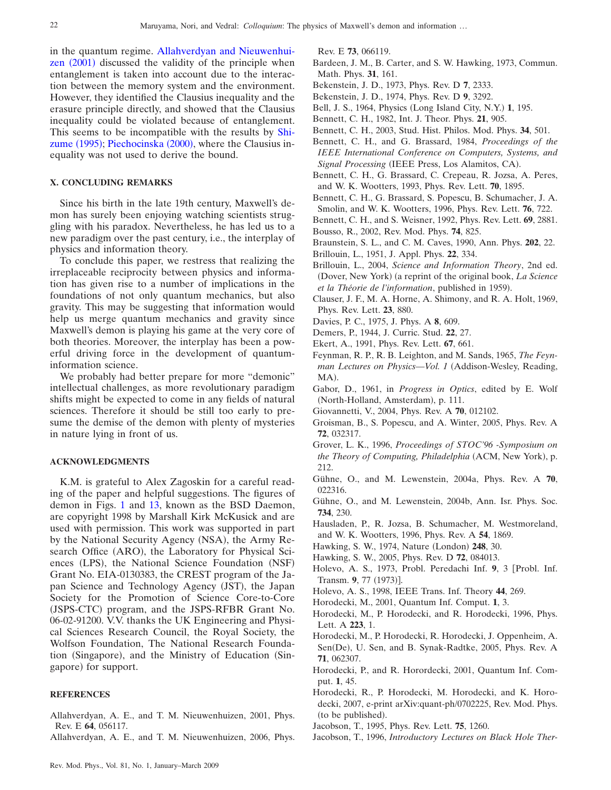in the quantum regime. [Allahverdyan and Nieuwenhui-](#page-21-37)zen ([2001](#page-21-37)) discussed the validity of the principle when entanglement is taken into account due to the interaction between the memory system and the environment. However, they identified the Clausius inequality and the erasure principle directly, and showed that the Clausius inequality could be violated because of entanglement. This seems to be incompatible with the results by [Shi](#page-22-13)[zume](#page-22-13) (1995); [Piechocinska](#page-22-14) (2000), where the Clausius inequality was not used to derive the bound.

# **X. CONCLUDING REMARKS**

Since his birth in the late 19th century, Maxwell's demon has surely been enjoying watching scientists struggling with his paradox. Nevertheless, he has led us to a new paradigm over the past century, i.e., the interplay of physics and information theory.

To conclude this paper, we restress that realizing the irreplaceable reciprocity between physics and information has given rise to a number of implications in the foundations of not only quantum mechanics, but also gravity. This may be suggesting that information would help us merge quantum mechanics and gravity since Maxwell's demon is playing his game at the very core of both theories. Moreover, the interplay has been a powerful driving force in the development of quantuminformation science.

We probably had better prepare for more "demonic" intellectual challenges, as more revolutionary paradigm shifts might be expected to come in any fields of natural sciences. Therefore it should be still too early to presume the demise of the demon with plenty of mysteries in nature lying in front of us.

# **ACKNOWLEDGMENTS**

K.M. is grateful to Alex Zagoskin for a careful reading of the paper and helpful suggestions. The figures of demon in Figs. [1](#page-2-0) and [13,](#page-19-0) known as the BSD Daemon, are copyright 1998 by Marshall Kirk McKusick and are used with permission. This work was supported in part by the National Security Agency (NSA), the Army Research Office (ARO), the Laboratory for Physical Sciences (LPS), the National Science Foundation (NSF) Grant No. EIA-0130383, the CREST program of the Japan Science and Technology Agency (JST), the Japan Society for the Promotion of Science Core-to-Core (JSPS-CTC) program, and the JSPS-RFBR Grant No. 06-02-91200. V.V. thanks the UK Engineering and Physical Sciences Research Council, the Royal Society, the Wolfson Foundation, The National Research Foundation (Singapore), and the Ministry of Education (Singapore) for support.

## <span id="page-21-37"></span>**REFERENCES**

Allahverdyan, A. E., and T. M. Nieuwenhuizen, 2001, Phys. Rev. E **64**, 056117.

<span id="page-21-6"></span>Allahverdyan, A. E., and T. M. Nieuwenhuizen, 2006, Phys.

Rev. E **73**, 066119.

- <span id="page-21-8"></span>Bardeen, J. M., B. Carter, and S. W. Hawking, 1973, Commun. Math. Phys. **31**, 161.
- <span id="page-21-9"></span>Bekenstein, J. D., 1973, Phys. Rev. D **7**, 2333.
- <span id="page-21-10"></span>Bekenstein, J. D., 1974, Phys. Rev. D **9**, 3292.
- <span id="page-21-24"></span>Bell, J. S., 1964, Physics (Long Island City, N.Y.) 1, 195.
- <span id="page-21-5"></span>Bennett, C. H., 1982, Int. J. Theor. Phys. **21**, 905.
- <span id="page-21-36"></span>Bennett, C. H., 2003, Stud. Hist. Philos. Mod. Phys. **34**, 501.
- <span id="page-21-19"></span>Bennett, C. H., and G. Brassard, 1984, *Proceedings of the IEEE International Conference on Computers, Systems, and* Signal Processing (IEEE Press, Los Alamitos, CA).
- <span id="page-21-22"></span>Bennett, C. H., G. Brassard, C. Crepeau, R. Jozsa, A. Peres, and W. K. Wootters, 1993, Phys. Rev. Lett. **70**, 1895.
- <span id="page-21-28"></span>Bennett, C. H., G. Brassard, S. Popescu, B. Schumacher, J. A. Smolin, and W. K. Wootters, 1996, Phys. Rev. Lett. **76**, 722.
- <span id="page-21-21"></span>Bennett, C. H., and S. Weisner, 1992, Phys. Rev. Lett. **69**, 2881.
- <span id="page-21-14"></span>Bousso, R., 2002, Rev. Mod. Phys. **74**, 825.
- <span id="page-21-31"></span>Braunstein, S. L., and C. M. Caves, 1990, Ann. Phys. **202**, 22.
- <span id="page-21-1"></span>Brillouin, L., 1951, J. Appl. Phys. **22**, 334.
- <span id="page-21-4"></span>Brillouin, L., 2004, *Science and Information Theory*, 2nd ed. (Dover, New York) (a reprint of the original book, *La Science* et la Théorie de l'information, published in 1959).
- <span id="page-21-32"></span>Clauser, J. F., M. A. Horne, A. Shimony, and R. A. Holt, 1969, Phys. Rev. Lett. **23**, 880.
- <span id="page-21-11"></span>Davies, P. C., 1975, J. Phys. A **8**, 609.
- <span id="page-21-3"></span>Demers, P., 1944, J. Curric. Stud. **22**, 27.
- <span id="page-21-20"></span>Ekert, A., 1991, Phys. Rev. Lett. **67**, 661.
- <span id="page-21-0"></span>Feynman, R. P., R. B. Leighton, and M. Sands, 1965, *The Feynman Lectures on Physics—Vol. 1* (Addison-Wesley, Reading, MA).
- <span id="page-21-2"></span>Gabor, D., 1961, in *Progress in Optics*, edited by E. Wolf (North-Holland, Amsterdam), p. 111.
- <span id="page-21-33"></span>Giovannetti, V., 2004, Phys. Rev. A **70**, 012102.
- <span id="page-21-30"></span>Groisman, B., S. Popescu, and A. Winter, 2005, Phys. Rev. A **72**, 032317.
- <span id="page-21-23"></span>Grover, L. K., 1996, *Proceedings of STOC'96 -Symposium on* the Theory of Computing, Philadelphia (ACM, New York), p. 212.
- <span id="page-21-34"></span>Gühne, O., and M. Lewenstein, 2004a, Phys. Rev. A **70**, 022316.
- <span id="page-21-35"></span>Gühne, O., and M. Lewenstein, 2004b, Ann. Isr. Phys. Soc. **734**, 230.
- <span id="page-21-17"></span>Hausladen, P., R. Jozsa, B. Schumacher, M. Westmoreland, and W. K. Wootters, 1996, Phys. Rev. A **54**, 1869.
- <span id="page-21-12"></span>Hawking, S. W., 1974, Nature (London) 248, 30.
- <span id="page-21-15"></span>Hawking, S. W., 2005, Phys. Rev. D **72**, 084013.
- <span id="page-21-16"></span>Holevo, A. S., 1973, Probl. Peredachi Inf. 9, 3 [Probl. Inf. Transm. 9, 77 (1973)].
- <span id="page-21-18"></span>Holevo, A. S., 1998, IEEE Trans. Inf. Theory **44**, 269.
- <span id="page-21-25"></span>Horodecki, M., 2001, Quantum Inf. Comput. **1**, 3.
- <span id="page-21-29"></span>Horodecki, M., P. Horodecki, and R. Horodecki, 1996, Phys. Lett. A **223**, 1.
- Horodecki, M., P. Horodecki, R. Horodecki, J. Oppenheim, A. Sen(De), U. Sen, and B. Synak-Radtke, 2005, Phys. Rev. A **71**, 062307.
- <span id="page-21-26"></span>Horodecki, P., and R. Horordecki, 2001, Quantum Inf. Comput. **1**, 45.
- <span id="page-21-27"></span>Horodecki, R., P. Horodecki, M. Horodecki, and K. Horodecki, 2007, e-print arXiv:quant-ph/0702225, Rev. Mod. Phys. (to be published).
- <span id="page-21-7"></span>Jacobson, T., 1995, Phys. Rev. Lett. **75**, 1260.
- <span id="page-21-13"></span>Jacobson, T., 1996, *Introductory Lectures on Black Hole Ther-*